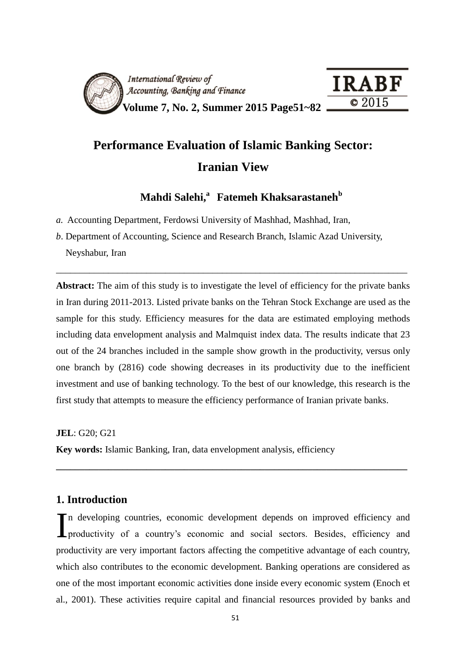

# **Performance Evaluation of Islamic Banking Sector: Iranian View**

**Mahdi Salehi, <sup>a</sup>Fatemeh Khaksarastaneh<sup>b</sup>**

*a.* Accounting Department, Ferdowsi University of Mashhad, Mashhad, Iran,

*b*. Department of Accounting, Science and Research Branch, Islamic Azad University, Neyshabur, Iran

**Abstract:** The aim of this study is to investigate the level of efficiency for the private banks in Iran during 2011-2013. Listed private banks on the Tehran Stock Exchange are used as the sample for this study. Efficiency measures for the data are estimated employing methods including data envelopment analysis and Malmquist index data. The results indicate that 23 out of the 24 branches included in the sample show growth in the productivity, versus only one branch by (2816) code showing decreases in its productivity due to the inefficient investment and use of banking technology. To the best of our knowledge, this research is the first study that attempts to measure the efficiency performance of Iranian private banks.

\_\_\_\_\_\_\_\_\_\_\_\_\_\_\_\_\_\_\_\_\_\_\_\_\_\_\_\_\_\_\_\_\_\_\_\_\_\_\_\_\_\_\_\_\_\_\_\_\_\_\_\_\_\_\_\_\_\_\_\_\_\_\_\_\_\_\_\_\_\_\_\_\_\_

**JEL**: G20; G21

**Key words:** Islamic Banking, Iran, data envelopment analysis, efficiency

# **1. Introduction**

n developing countries, economic development depends on improved efficiency and In developing countries, economic development depends on improved efficiency and productivity of a country's economic and social sectors. Besides, efficiency and productivity are very important factors affecting the competitive advantage of each country, which also contributes to the economic development. Banking operations are considered as one of the most important economic activities done inside every economic system (Enoch et al., 2001). These activities require capital and financial resources provided by banks and

**\_\_\_\_\_\_\_\_\_\_\_\_\_\_\_\_\_\_\_\_\_\_\_\_\_\_\_\_\_\_\_\_\_\_\_\_\_\_\_\_\_\_\_\_\_\_\_\_\_\_\_\_\_\_\_\_\_\_\_\_\_\_\_\_\_\_\_\_\_\_\_\_\_\_**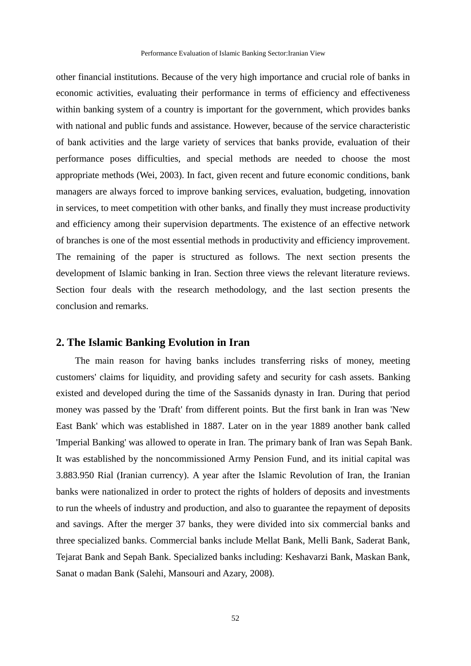other financial institutions. Because of the very high importance and crucial role of banks in economic activities, evaluating their performance in terms of efficiency and effectiveness within banking system of a country is important for the government, which provides banks with national and public funds and assistance. However, because of the service characteristic of bank activities and the large variety of services that banks provide, evaluation of their performance poses difficulties, and special methods are needed to choose the most appropriate methods (Wei, 2003). In fact, given recent and future economic conditions, bank managers are always forced to improve banking services, evaluation, budgeting, innovation in services, to meet competition with other banks, and finally they must increase productivity and efficiency among their supervision departments. The existence of an effective network of branches is one of the most essential methods in productivity and efficiency improvement. The remaining of the paper is structured as follows. The next section presents the development of Islamic banking in Iran. Section three views the relevant literature reviews. Section four deals with the research methodology, and the last section presents the conclusion and remarks.

#### **2. The Islamic Banking Evolution in Iran**

The main reason for having banks includes transferring risks of money, meeting customers' claims for liquidity, and providing safety and security for cash assets. Banking existed and developed during the time of the Sassanids dynasty in Iran. During that period money was passed by the 'Draft' from different points. But the first bank in Iran was 'New East Bank' which was established in 1887. Later on in the year 1889 another bank called 'Imperial Banking' was allowed to operate in Iran. The primary bank of Iran was Sepah Bank. It was established by the noncommissioned Army Pension Fund, and its initial capital was 3.883.950 Rial (Iranian currency). A year after the Islamic Revolution of Iran, the Iranian banks were nationalized in order to protect the rights of holders of deposits and investments to run the wheels of industry and production, and also to guarantee the repayment of deposits and savings. After the merger 37 banks, they were divided into six commercial banks and three specialized banks. Commercial banks include Mellat Bank, Melli Bank, Saderat Bank, Tejarat Bank and Sepah Bank. Specialized banks including: Keshavarzi Bank, Maskan Bank, Sanat o madan Bank (Salehi, Mansouri and Azary, 2008).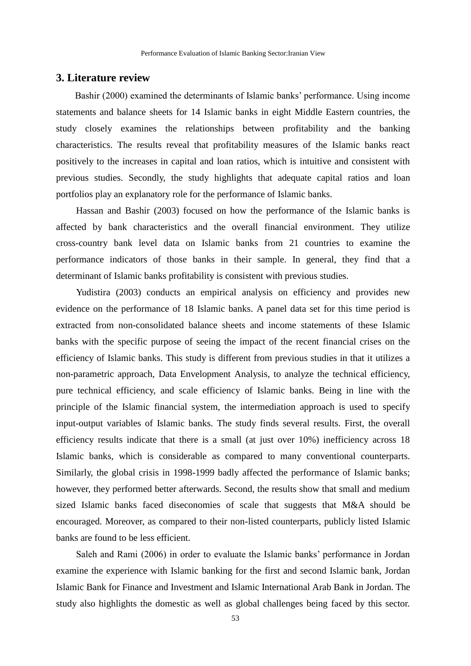### **3. Literature review**

Bashir (2000) examined the determinants of Islamic banks' performance. Using income statements and balance sheets for 14 Islamic banks in eight Middle Eastern countries, the study closely examines the relationships between profitability and the banking characteristics. The results reveal that profitability measures of the Islamic banks react positively to the increases in capital and loan ratios, which is intuitive and consistent with previous studies. Secondly, the study highlights that adequate capital ratios and loan portfolios play an explanatory role for the performance of Islamic banks.

Hassan and Bashir (2003) focused on how the performance of the Islamic banks is affected by bank characteristics and the overall financial environment. They utilize cross-country bank level data on Islamic banks from 21 countries to examine the performance indicators of those banks in their sample. In general, they find that a determinant of Islamic banks profitability is consistent with previous studies.

Yudistira (2003) conducts an empirical analysis on efficiency and provides new evidence on the performance of 18 Islamic banks. A panel data set for this time period is extracted from non-consolidated balance sheets and income statements of these Islamic banks with the specific purpose of seeing the impact of the recent financial crises on the efficiency of Islamic banks. This study is different from previous studies in that it utilizes a non-parametric approach, Data Envelopment Analysis, to analyze the technical efficiency, pure technical efficiency, and scale efficiency of Islamic banks. Being in line with the principle of the Islamic financial system, the intermediation approach is used to specify input-output variables of Islamic banks. The study finds several results. First, the overall efficiency results indicate that there is a small (at just over 10%) inefficiency across 18 Islamic banks, which is considerable as compared to many conventional counterparts. Similarly, the global crisis in 1998-1999 badly affected the performance of Islamic banks; however, they performed better afterwards. Second, the results show that small and medium sized Islamic banks faced diseconomies of scale that suggests that M&A should be encouraged. Moreover, as compared to their non-listed counterparts, publicly listed Islamic banks are found to be less efficient.

Saleh and Rami (2006) in order to evaluate the Islamic banks' performance in Jordan examine the experience with Islamic banking for the first and second Islamic bank, Jordan Islamic Bank for Finance and Investment and Islamic International Arab Bank in Jordan. The study also highlights the domestic as well as global challenges being faced by this sector.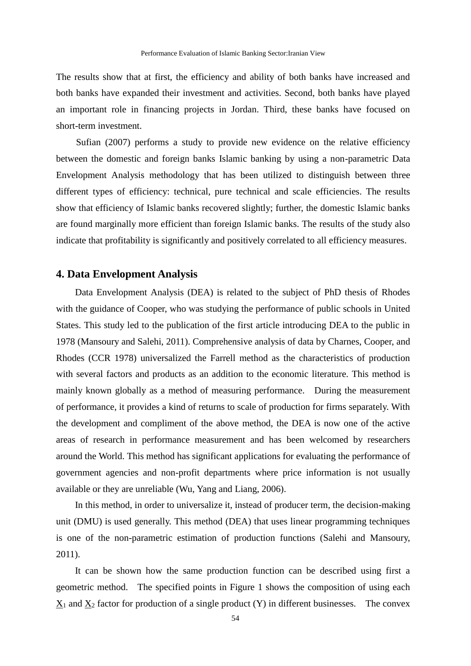The results show that at first, the efficiency and ability of both banks have increased and both banks have expanded their investment and activities. Second, both banks have played an important role in financing projects in Jordan. Third, these banks have focused on short-term investment.

Sufian (2007) performs a study to provide new evidence on the relative efficiency between the domestic and foreign banks Islamic banking by using a non-parametric Data Envelopment Analysis methodology that has been utilized to distinguish between three different types of efficiency: technical, pure technical and scale efficiencies. The results show that efficiency of Islamic banks recovered slightly; further, the domestic Islamic banks are found marginally more efficient than foreign Islamic banks. The results of the study also indicate that profitability is significantly and positively correlated to all efficiency measures.

# **4. Data Envelopment Analysis**

Data Envelopment Analysis (DEA) is related to the subject of PhD thesis of Rhodes with the guidance of Cooper, who was studying the performance of public schools in United States. This study led to the publication of the first article introducing DEA to the public in 1978 (Mansoury and Salehi, 2011). Comprehensive analysis of data by Charnes, Cooper, and Rhodes (CCR 1978) universalized the Farrell method as the characteristics of production with several factors and products as an addition to the economic literature. This method is mainly known globally as a method of measuring performance. During the measurement of performance, it provides a kind of returns to scale of production for firms separately. With the development and compliment of the above method, the DEA is now one of the active areas of research in performance measurement and has been welcomed by researchers around the World. This method has significant applications for evaluating the performance of government agencies and non-profit departments where price information is not usually available or they are unreliable (Wu, Yang and Liang, 2006).

In this method, in order to universalize it, instead of producer term, the decision-making unit (DMU) is used generally. This method (DEA) that uses linear programming techniques is one of the non-parametric estimation of production functions (Salehi and Mansoury, 2011).

It can be shown how the same production function can be described using first a geometric method. The specified points in Figure 1 shows the composition of using each  $X_1$  and  $X_2$  factor for production of a single product (Y) in different businesses. The convex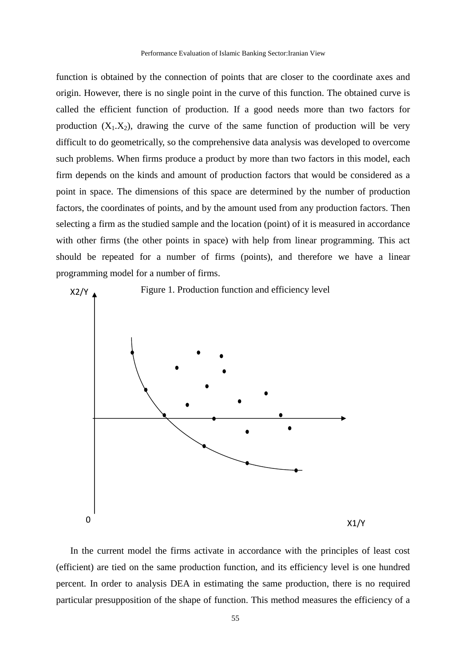function is obtained by the connection of points that are closer to the coordinate axes and origin. However, there is no single point in the curve of this function. The obtained curve is called the efficient function of production. If a good needs more than two factors for production  $(X_1, X_2)$ , drawing the curve of the same function of production will be very difficult to do geometrically, so the comprehensive data analysis was developed to overcome such problems. When firms produce a product by more than two factors in this model, each firm depends on the kinds and amount of production factors that would be considered as a point in space. The dimensions of this space are determined by the number of production factors, the coordinates of points, and by the amount used from any production factors. Then selecting a firm as the studied sample and the location (point) of it is measured in accordance with other firms (the other points in space) with help from linear programming. This act should be repeated for a number of firms (points), and therefore we have a linear programming model for a number of firms.



In the current model the firms activate in accordance with the principles of least cost (efficient) are tied on the same production function, and its efficiency level is one hundred percent. In order to analysis DEA in estimating the same production, there is no required particular presupposition of the shape of function. This method measures the efficiency of a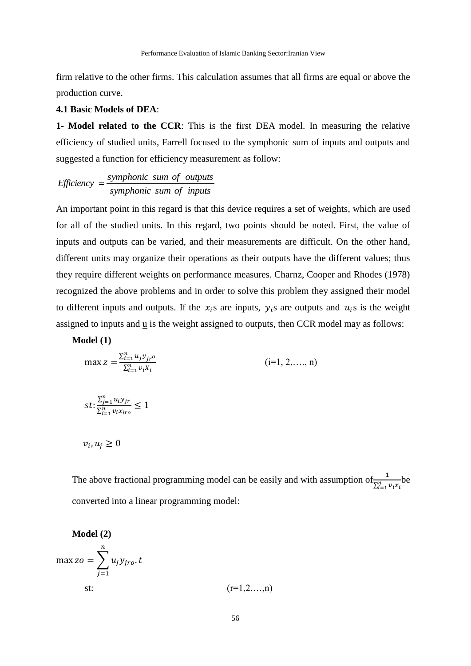firm relative to the other firms. This calculation assumes that all firms are equal or above the production curve.

#### **4.1 Basic Models of DEA**:

**1- Model related to the CCR**: This is the first DEA model. In measuring the relative efficiency of studied units, Farrell focused to the symphonic sum of inputs and outputs and suggested a function for efficiency measurement as follow:

*symphonic sum of inputs symphonic sum of outputs Efficiency*

An important point in this regard is that this device requires a set of weights, which are used for all of the studied units. In this regard, two points should be noted. First, the value of inputs and outputs can be varied, and their measurements are difficult. On the other hand, different units may organize their operations as their outputs have the different values; thus they require different weights on performance measures. Charnz, Cooper and Rhodes (1978) recognized the above problems and in order to solve this problem they assigned their model to different inputs and outputs. If the  $x_i$ s are inputs,  $y_i$ s are outputs and  $u_i$ s is the weight assigned to inputs and u is the weight assigned to outputs, then CCR model may as follows:

**Model (1)**

$$
\max z = \frac{\sum_{i=1}^{n} u_j y_{jr} o}{\sum_{i=1}^{n} v_i x_i} \qquad (i=1, 2, ..., n)
$$
  

$$
st: \frac{\sum_{j=1}^{n} u_i y_{jr}}{\sum_{i=1}^{n} v_i x_{iro}} \le 1
$$
  

$$
v_i, u_j \ge 0
$$

The above fractional programming model can be easily and with assumption of  $\frac{1}{\sum_{i=1}^{n} v_i x_i}$  be converted into a linear programming model:

**Model (2)**  
\n
$$
\max z_o = \sum_{j=1}^{n} u_j y_{jro}.t
$$
\n
$$
\text{st:} \qquad (\text{r=1},2,...,n)
$$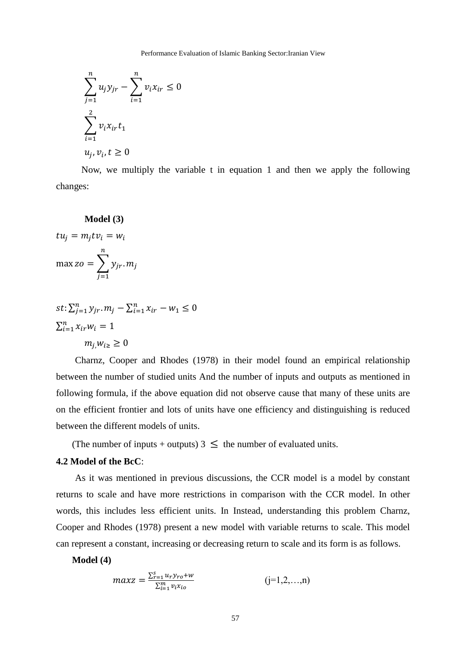$$
\sum_{j=1}^{n} u_j y_{jr} - \sum_{i=1}^{n} v_i x_{ir} \le 0
$$
  

$$
\sum_{i=1}^{2} v_i x_{ir} t_1
$$
  

$$
u_j, v_i, t \ge 0
$$

Now, we multiply the variable t in equation 1 and then we apply the following changes:

#### **Model (3)**

$$
tu_j = m_j t v_i = w_i
$$

$$
\max zo = \sum_{j=1}^n y_{jr} m_j
$$

$$
st: \sum_{j=1}^{n} y_{jr} \cdot m_j - \sum_{i=1}^{n} x_{ir} - w_1 \le 0
$$
  

$$
\sum_{i=1}^{n} x_{ir} w_i = 1
$$
  

$$
m_{j,} w_{i \ge 0}
$$

Charnz, Cooper and Rhodes (1978) in their model found an empirical relationship between the number of studied units And the number of inputs and outputs as mentioned in following formula, if the above equation did not observe cause that many of these units are on the efficient frontier and lots of units have one efficiency and distinguishing is reduced between the different models of units.

(The number of inputs + outputs)  $3 \leq$  the number of evaluated units.

#### **4.2 Model of the BcC**:

As it was mentioned in previous discussions, the CCR model is a model by constant returns to scale and have more restrictions in comparison with the CCR model. In other words, this includes less efficient units. In Instead, understanding this problem Charnz, Cooper and Rhodes (1978) present a new model with variable returns to scale. This model can represent a constant, increasing or decreasing return to scale and its form is as follows.

**Model (4)**

$$
maxz = \frac{\sum_{r=1}^{s} u_r y_{ro} + w}{\sum_{i=1}^{m} v_i x_{io}} \qquad (j=1,2,...,n)
$$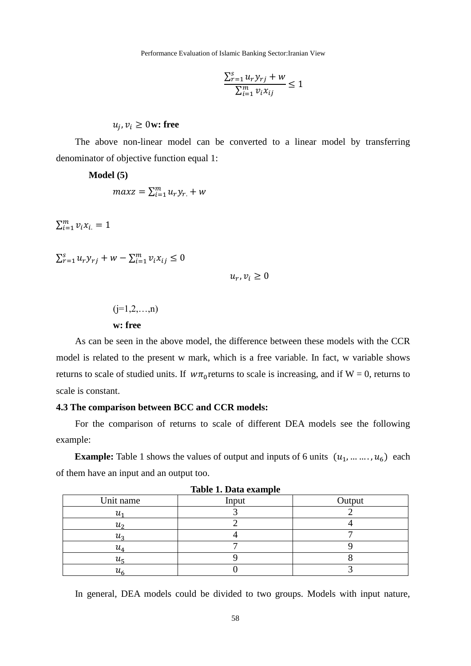Performance Evaluation of Islamic Banking Sector:Iranian View

$$
\frac{\sum_{r=1}^{s} u_r y_{rj} + w}{\sum_{i=1}^{m} v_i x_{ij}} \le 1
$$

 $u_j$ ,  $v_i \geq 0$  w: free

The above non-linear model can be converted to a linear model by transferring denominator of objective function equal 1:

**Model (5)**

$$
maxz = \sum_{i=1}^{m} u_r y_r + w
$$

 $\sum_{i=1}^{m} v_i x_i = 1$ 

 $\sum_{r=1}^{s} u_r y_{rj} + w - \sum_{i=1}^{m} v_i x_{ij} \leq 0$ 

 $u_r, v_i \geq 0$ 

 $(i=1,2,...,n)$ 

# **w: free**

As can be seen in the above model, the difference between these models with the CCR model is related to the present w mark, which is a free variable. In fact, w variable shows returns to scale of studied units. If  $w\pi_0$  returns to scale is increasing, and if W = 0, returns to scale is constant.

## **4.3 The comparison between BCC and CCR models:**

For the comparison of returns to scale of different DEA models see the following example:

**Example:** Table 1 shows the values of output and inputs of 6 units  $(u_1, \ldots, u_6)$  each of them have an input and an output too.

| Table 1. Data example |       |        |  |  |  |  |  |  |  |
|-----------------------|-------|--------|--|--|--|--|--|--|--|
| Unit name             | Input | Output |  |  |  |  |  |  |  |
| u1                    |       |        |  |  |  |  |  |  |  |
| $u_{\mathcal{P}}$     |       |        |  |  |  |  |  |  |  |
| $u_3$                 |       |        |  |  |  |  |  |  |  |
| $u_{\mathtt{4}}$      |       |        |  |  |  |  |  |  |  |
| $u_5$                 |       |        |  |  |  |  |  |  |  |
| $u_{6}$               |       |        |  |  |  |  |  |  |  |

**Table 1. Data example**

In general, DEA models could be divided to two groups. Models with input nature,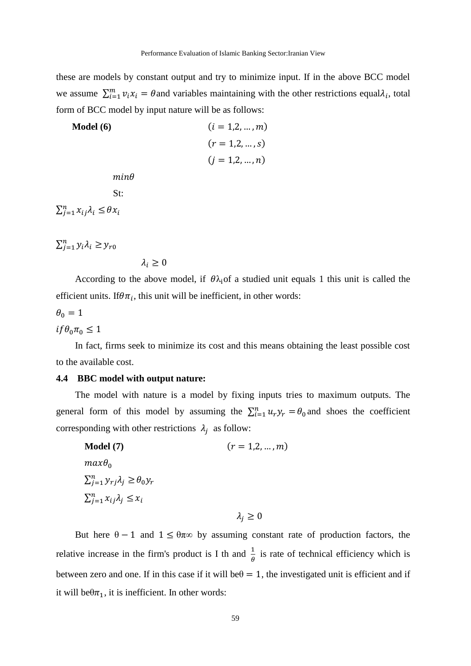these are models by constant output and try to minimize input. If in the above BCC model we assume  $\sum_{i=1}^{m} v_i x_i = \theta$  and variables maintaining with the other restrictions equal $\lambda_i$ , total form of BCC model by input nature will be as follows:

Model (6)

\n
$$
(i = 1, 2, \ldots, m)
$$
\n
$$
(r = 1, 2, \ldots, s)
$$
\n
$$
(j = 1, 2, \ldots, n)
$$
\nmin $\theta$ 

\nSt:

\n
$$
\sum_{j=1}^{n} x_{ij} \lambda_i \leq \theta x_i
$$

 $\sum_{j=1}^n y_i \lambda_i \geq y_{r0}$ 

$$
\lambda_i \geq 0
$$

According to the above model, if  $\theta \lambda_i$  of a studied unit equals 1 this unit is called the efficient units. If  $\theta \pi_i$ , this unit will be inefficient, in other words:

 $\theta_0 = 1$ 

 $if \theta_0 \pi_0 \leq 1$ 

In fact, firms seek to minimize its cost and this means obtaining the least possible cost to the available cost.

#### **4.4 BBC model with output nature:**

The model with nature is a model by fixing inputs tries to maximum outputs. The general form of this model by assuming the  $\sum_{i=1}^{n} u_r y_r = \theta_0$  and shoes the coefficient corresponding with other restrictions  $\lambda_i$  as follow:

| Model (7)                                         | $(r = 1, 2, , m)$  |
|---------------------------------------------------|--------------------|
| $max\theta_0$                                     |                    |
| $\sum_{i=1}^n y_{ri} \lambda_i \geq \theta_0 y_r$ |                    |
| $\sum_{i=1}^n x_{ij} \lambda_i \leq x_i$          |                    |
|                                                   | $\lambda_i \geq 0$ |

But here  $\theta - 1$  and  $1 \leq \theta \pi \infty$  by assuming constant rate of production factors, the relative increase in the firm's product is I th and  $\frac{1}{\theta}$  is rate of technical efficiency which is between zero and one. If in this case if it will be $\theta = 1$ , the investigated unit is efficient and if it will be $\theta\pi_1$ , it is inefficient. In other words: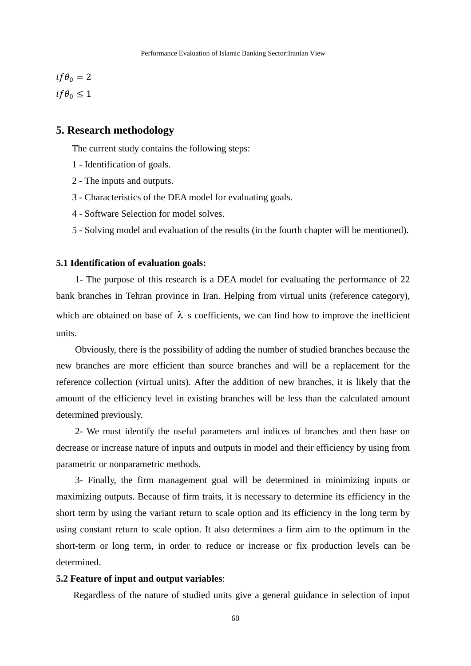$$
if \theta_0 = 2
$$
  

$$
if \theta_0 \le 1
$$

# **5. Research methodology**

The current study contains the following steps:

- 1 Identification of goals.
- 2 The inputs and outputs.
- 3 Characteristics of the DEA model for evaluating goals.
- 4 Software Selection for model solves.
- 5 Solving model and evaluation of the results (in the fourth chapter will be mentioned).

#### **5.1 Identification of evaluation goals:**

1- The purpose of this research is a DEA model for evaluating the performance of 22 bank branches in Tehran province in Iran. Helping from virtual units (reference category), which are obtained on base of  $\lambda$  s coefficients, we can find how to improve the inefficient units.

Obviously, there is the possibility of adding the number of studied branches because the new branches are more efficient than source branches and will be a replacement for the reference collection (virtual units). After the addition of new branches, it is likely that the amount of the efficiency level in existing branches will be less than the calculated amount determined previously.

2- We must identify the useful parameters and indices of branches and then base on decrease or increase nature of inputs and outputs in model and their efficiency by using from parametric or nonparametric methods.

3- Finally, the firm management goal will be determined in minimizing inputs or maximizing outputs. Because of firm traits, it is necessary to determine its efficiency in the short term by using the variant return to scale option and its efficiency in the long term by using constant return to scale option. It also determines a firm aim to the optimum in the short-term or long term, in order to reduce or increase or fix production levels can be determined.

#### **5.2 Feature of input and output variables**:

Regardless of the nature of studied units give a general guidance in selection of input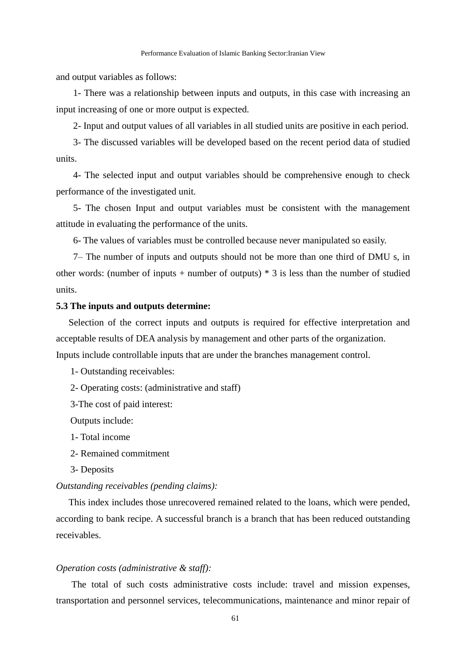and output variables as follows:

1- There was a relationship between inputs and outputs, in this case with increasing an input increasing of one or more output is expected.

2- Input and output values of all variables in all studied units are positive in each period.

3- The discussed variables will be developed based on the recent period data of studied units.

4- The selected input and output variables should be comprehensive enough to check performance of the investigated unit.

5- The chosen Input and output variables must be consistent with the management attitude in evaluating the performance of the units.

6- The values of variables must be controlled because never manipulated so easily.

7– The number of inputs and outputs should not be more than one third of DMU s, in other words: (number of inputs + number of outputs)  $*$  3 is less than the number of studied units.

#### **5.3 The inputs and outputs determine:**

Selection of the correct inputs and outputs is required for effective interpretation and acceptable results of DEA analysis by management and other parts of the organization.

Inputs include controllable inputs that are under the branches management control.

1- Outstanding receivables:

2- Operating costs: (administrative and staff)

3-The cost of paid interest:

Outputs include:

1- Total income

2- Remained commitment

3- Deposits

#### *Outstanding receivables (pending claims):*

This index includes those unrecovered remained related to the loans, which were pended, according to bank recipe. A successful branch is a branch that has been reduced outstanding receivables.

#### *Operation costs (administrative & staff):*

The total of such costs administrative costs include: travel and mission expenses, transportation and personnel services, telecommunications, maintenance and minor repair of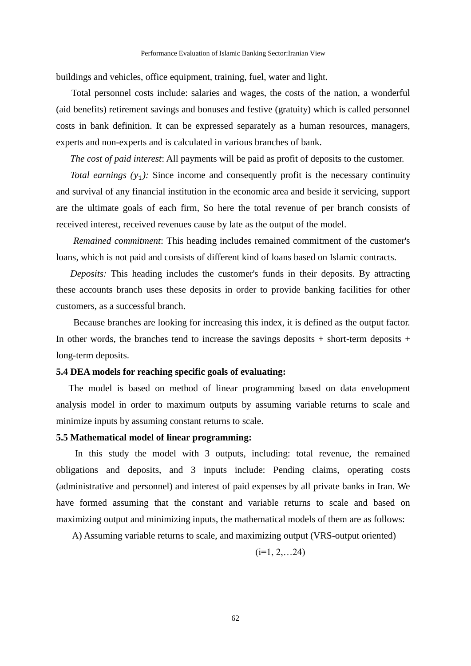buildings and vehicles, office equipment, training, fuel, water and light.

Total personnel costs include: salaries and wages, the costs of the nation, a wonderful (aid benefits) retirement savings and bonuses and festive (gratuity) which is called personnel costs in bank definition. It can be expressed separately as a human resources, managers, experts and non-experts and is calculated in various branches of bank.

*The cost of paid interest*: All payments will be paid as profit of deposits to the customer.

*Total earnings*  $(y_1)$ : Since income and consequently profit is the necessary continuity and survival of any financial institution in the economic area and beside it servicing, support are the ultimate goals of each firm, So here the total revenue of per branch consists of received interest, received revenues cause by late as the output of the model.

*Remained commitment*: This heading includes remained commitment of the customer's loans, which is not paid and consists of different kind of loans based on Islamic contracts.

*Deposits:* This heading includes the customer's funds in their deposits. By attracting these accounts branch uses these deposits in order to provide banking facilities for other customers, as a successful branch.

Because branches are looking for increasing this index, it is defined as the output factor. In other words, the branches tend to increase the savings deposits  $+$  short-term deposits  $+$ long-term deposits.

#### **5.4 DEA models for reaching specific goals of evaluating:**

The model is based on method of linear programming based on data envelopment analysis model in order to maximum outputs by assuming variable returns to scale and minimize inputs by assuming constant returns to scale.

#### **5.5 Mathematical model of linear programming:**

In this study the model with 3 outputs, including: total revenue, the remained obligations and deposits, and 3 inputs include: Pending claims, operating costs (administrative and personnel) and interest of paid expenses by all private banks in Iran. We have formed assuming that the constant and variable returns to scale and based on maximizing output and minimizing inputs, the mathematical models of them are as follows:

A) Assuming variable returns to scale, and maximizing output (VRS-output oriented)

$$
(i=1, 2, \ldots 24)
$$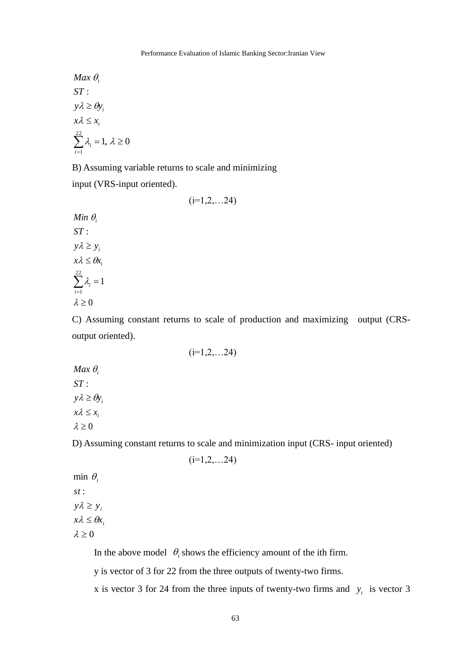$1, \lambda \geq 0$ : *ST* 22 1  $\sum_{i=1} \lambda_i = 1, \lambda \geq$  $x \lambda \leq x_i$  $y\lambda \ge \theta y_i$ Max  $\theta$ <sub>i</sub> *i i*

B) Assuming variable returns to scale and minimizing input (VRS-input oriented).

 $(i=1,2,...24)$ 

 $\lambda \geq 0$ 1 : *ST* 22 1  $\sum_{i=1} \lambda_i =$  $x\lambda \leq \theta x_i$  $y\lambda \geq y_i$ λ,  $Min$   $\theta$ <sub>i</sub> *i i*

C) Assuming constant returns to scale of production and maximizing output (CRSoutput oriented).

 $\lambda \geq 0$ : *ST*  $x \lambda \leq x_i$  $y\lambda \ge \theta y_i$  $Max \theta_i$ 

D) Assuming constant returns to scale and minimization input (CRS- input oriented)

$$
(i=1,2,...24)
$$

 $(i=1,2,...24)$ 

 $\lambda \geq 0$ : *st*  $\min \theta_i$  $x\lambda \leq \theta x_i$  $y\lambda \geq y_i$ 

In the above model  $\theta_i$  shows the efficiency amount of the ith firm.

y is vector of 3 for 22 from the three outputs of twenty-two firms.

x is vector 3 for 24 from the three inputs of twenty-two firms and  $y_i$  is vector 3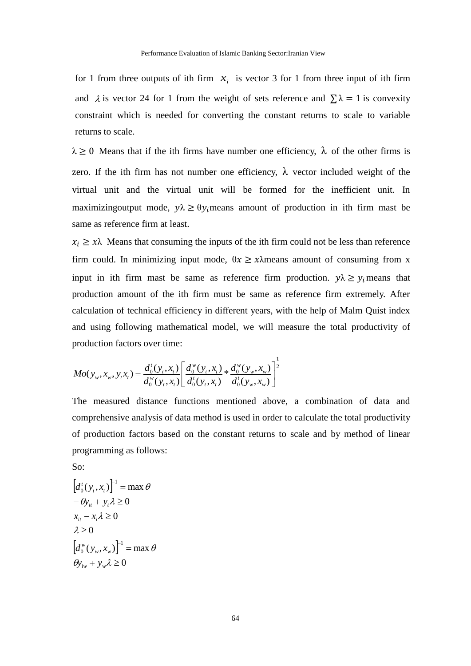for 1 from three outputs of ith firm  $x_i$  is vector 3 for 1 from three input of ith firm and  $\lambda$  is vector 24 for 1 from the weight of sets reference and  $\sum \lambda = 1$  is convexity constraint which is needed for converting the constant returns to scale to variable returns to scale.

 $\lambda \geq 0$  Means that if the ith firms have number one efficiency,  $\lambda$  of the other firms is zero. If the ith firm has not number one efficiency,  $\lambda$  vector included weight of the virtual unit and the virtual unit will be formed for the inefficient unit. In maximizingoutput mode,  $y\lambda \geq \theta y_i$  means amount of production in ith firm mast be same as reference firm at least.

 $x_i \geq x\lambda$  Means that consuming the inputs of the ith firm could not be less than reference firm could. In minimizing input mode,  $\theta x \geq x\lambda$  means amount of consuming from x input in ith firm mast be same as reference firm production.  $y\lambda \ge y_i$  means that production amount of the ith firm must be same as reference firm extremely. After calculation of technical efficiency in different years, with the help of Malm Quist index and using following mathematical model, we will measure the total productivity of production factors over time:

$$
Mo(y_{w}, x_{w}, y_{t}x_{t}) = \frac{d_{0}^{t}(y_{t}, x_{t})}{d_{0}^{w}(y_{t}, x_{t})} \left[ \frac{d_{0}^{w}(y_{t}, x_{t})}{d_{0}^{t}(y_{t}, x_{t})} * \frac{d_{0}^{w}(y_{w}, x_{w})}{d_{0}^{t}(y_{w}, x_{w})} \right]^{\frac{1}{2}}
$$

The measured distance functions mentioned above, a combination of data and comprehensive analysis of data method is used in order to calculate the total productivity of production factors based on the constant returns to scale and by method of linear programming as follows:

So:

$$
[d_0^t(y_t, x_t)]^{-1} = \max \theta
$$
  

$$
-\theta y_{it} + y_t \lambda \ge 0
$$
  

$$
x_{it} - x_i \lambda \ge 0
$$
  

$$
\lambda \ge 0
$$
  

$$
[d_0^w(y_w, x_w)]^{-1} = \max \theta
$$
  

$$
\theta y_{iw} + y_w \lambda \ge 0
$$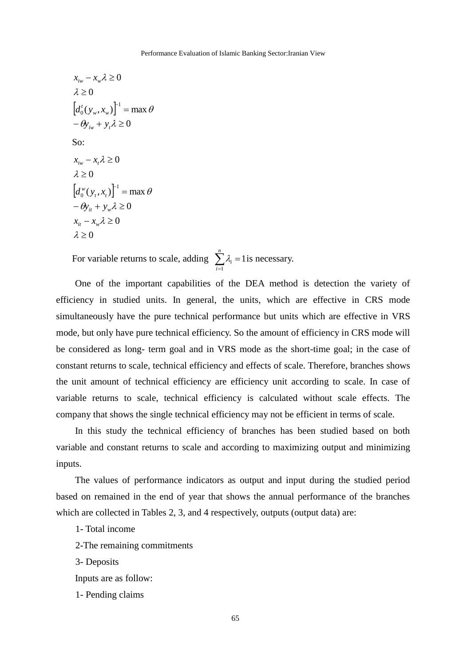$\left[ d_0^t(y_w, x_w) \right]^{-1} = \max$  $-\theta y_{iw} + y_t \lambda \ge 0$  $\lambda \geq 0$  $x_{iw} - x_w \lambda \geq 0$  $\int_0^t (y_w, x_w) \bigg]^{-1} = \max \theta$  $d_0^t(y_w, x)$ So:  $\left[ d_0^w(y_t, x_t) \right]^{-1} = \max$  $\lambda \geq 0$  $x_{it} - x_{w} \lambda \geq 0$  $-\theta y_{it} + y_w \lambda \ge 0$  $\lambda \geq 0$  $x_{iw} - x_t \lambda \geq 0$  $\int_0^w (y_t, x_t) \bigg]^{-1} = \max \theta$  $d_0^w(y_t, x)$ 

For variable returns to scale, adding  $\sum_{i=1}^{n} \lambda_i =$ *i i* 1  $\lambda_i = 1$  is necessary.

One of the important capabilities of the DEA method is detection the variety of efficiency in studied units. In general, the units, which are effective in CRS mode simultaneously have the pure technical performance but units which are effective in VRS mode, but only have pure technical efficiency. So the amount of efficiency in CRS mode will be considered as long- term goal and in VRS mode as the short-time goal; in the case of constant returns to scale, technical efficiency and effects of scale. Therefore, branches shows the unit amount of technical efficiency are efficiency unit according to scale. In case of variable returns to scale, technical efficiency is calculated without scale effects. The company that shows the single technical efficiency may not be efficient in terms of scale.

In this study the technical efficiency of branches has been studied based on both variable and constant returns to scale and according to maximizing output and minimizing inputs.

The values of performance indicators as output and input during the studied period based on remained in the end of year that shows the annual performance of the branches which are collected in Tables 2, 3, and 4 respectively, outputs (output data) are:

1- Total income

2-The remaining commitments

3- Deposits

Inputs are as follow:

1- Pending claims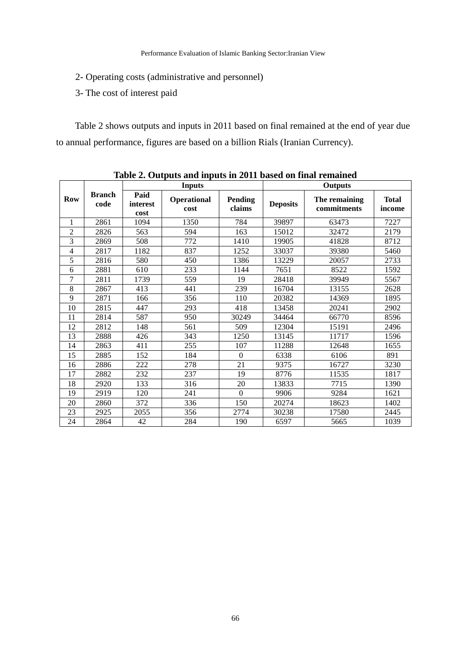- 2- Operating costs (administrative and personnel)
- 3- The cost of interest paid

Table 2 shows outputs and inputs in 2011 based on final remained at the end of year due to annual performance, figures are based on a billion Rials (Iranian Currency).

|                |                       |                          | <b>Inputs</b>       |                          | <b>Outputs</b>  |                              |                        |  |
|----------------|-----------------------|--------------------------|---------------------|--------------------------|-----------------|------------------------------|------------------------|--|
| <b>Row</b>     | <b>Branch</b><br>code | Paid<br>interest<br>cost | Operational<br>cost | <b>Pending</b><br>claims | <b>Deposits</b> | The remaining<br>commitments | <b>Total</b><br>income |  |
| 1              | 2861                  | 1094                     | 1350                | 784                      | 39897           | 63473                        | 7227                   |  |
| $\overline{2}$ | 2826                  | 563                      | 594                 | 163                      | 15012           | 32472                        | 2179                   |  |
| 3              | 2869                  | 508                      | 772                 | 1410                     | 19905           | 41828                        | 8712                   |  |
| $\overline{4}$ | 2817                  | 1182                     | 837                 | 1252                     | 33037           | 39380                        | 5460                   |  |
| 5              | 2816                  | 580                      | 450                 | 1386                     | 13229           | 20057                        | 2733                   |  |
| 6              | 2881                  | 610                      | 233                 | 1144                     | 7651            | 8522                         | 1592                   |  |
| $\overline{7}$ | 2811                  | 1739                     | 559                 | 19                       | 28418           | 39949                        | 5567                   |  |
| 8              | 2867                  | 413                      | 441                 | 239                      | 16704           | 13155                        | 2628                   |  |
| 9              | 2871                  | 166                      | 356                 | 110                      | 20382           | 14369                        | 1895                   |  |
| 10             | 2815                  | 447                      | 293                 | 418                      | 13458           | 20241                        | 2902                   |  |
| 11             | 2814                  | 587                      | 950                 | 30249                    | 34464           | 66770                        | 8596                   |  |
| 12             | 2812                  | 148                      | 561                 | 509                      | 12304           | 15191                        | 2496                   |  |
| 13             | 2888                  | 426                      | 343                 | 1250                     | 13145           | 11717                        | 1596                   |  |
| 14             | 2863                  | 411                      | 255                 | 107                      | 11288           | 12648                        | 1655                   |  |
| 15             | 2885                  | 152                      | 184                 | $\Omega$                 | 6338            | 6106                         | 891                    |  |
| 16             | 2886                  | 222                      | 278                 | 21                       | 9375            | 16727                        | 3230                   |  |
| 17             | 2882                  | 232                      | 237                 | 19                       | 8776            | 11535                        | 1817                   |  |
| 18             | 2920                  | 133                      | 316                 | 20                       | 13833           | 7715                         | 1390                   |  |
| 19             | 2919                  | 120                      | 241                 | $\overline{0}$           | 9906            | 9284                         | 1621                   |  |
| 20             | 2860                  | 372                      | 336                 | 150                      | 20274           | 18623                        | 1402                   |  |
| 23             | 2925                  | 2055                     | 356                 | 2774                     | 30238           | 17580                        | 2445                   |  |
| 24             | 2864                  | 42                       | 284                 | 190                      | 6597            | 5665                         | 1039                   |  |

**Table 2. Outputs and inputs in 2011 based on final remained**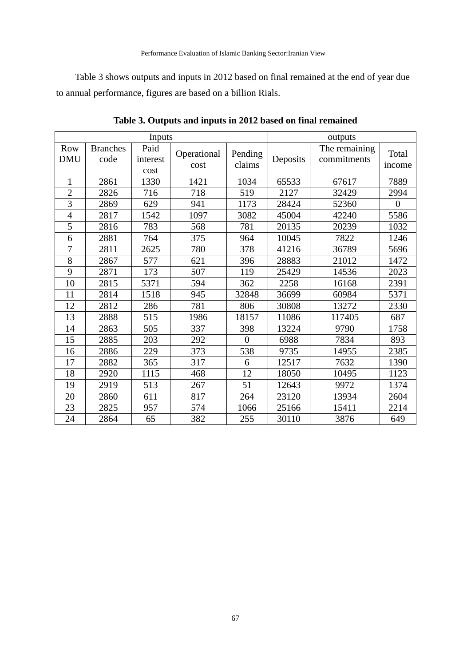Table 3 shows outputs and inputs in 2012 based on final remained at the end of year due to annual performance, figures are based on a billion Rials.

|                   |                         | Inputs                   | outputs             |                   |          |                              |                 |
|-------------------|-------------------------|--------------------------|---------------------|-------------------|----------|------------------------------|-----------------|
| Row<br><b>DMU</b> | <b>Branches</b><br>code | Paid<br>interest<br>cost | Operational<br>cost | Pending<br>claims | Deposits | The remaining<br>commitments | Total<br>income |
| $\mathbf{1}$      | 2861                    | 1330                     | 1421                | 1034              | 65533    | 67617                        | 7889            |
| $\overline{c}$    | 2826                    | 716                      | 718                 | 519               | 2127     | 32429                        | 2994            |
| 3                 | 2869                    | 629                      | 941                 | 1173              | 28424    | 52360                        | $\overline{0}$  |
| $\overline{4}$    | 2817                    | 1542                     | 1097                | 3082              | 45004    | 42240                        | 5586            |
| 5                 | 2816                    | 783                      | 568                 | 781               | 20135    | 20239                        | 1032            |
| 6                 | 2881                    | 764                      | 375                 | 964               | 10045    | 7822                         | 1246            |
| $\overline{7}$    | 2811                    | 2625                     | 780                 | 378               | 41216    | 36789                        | 5696            |
| 8                 | 2867                    | 577                      | 621                 | 396               | 28883    | 21012                        | 1472            |
| 9                 | 2871                    | 173                      | 507                 | 119               | 25429    | 14536                        | 2023            |
| 10                | 2815                    | 5371                     | 594                 | 362               | 2258     | 16168                        | 2391            |
| 11                | 2814                    | 1518                     | 945                 | 32848             | 36699    | 60984                        | 5371            |
| 12                | 2812                    | 286                      | 781                 | 806               | 30808    | 13272                        | 2330            |
| 13                | 2888                    | 515                      | 1986                | 18157             | 11086    | 117405                       | 687             |
| 14                | 2863                    | 505                      | 337                 | 398               | 13224    | 9790                         | 1758            |
| 15                | 2885                    | 203                      | 292                 | $\Omega$          | 6988     | 7834                         | 893             |
| 16                | 2886                    | 229                      | 373                 | 538               | 9735     | 14955                        | 2385            |
| 17                | 2882                    | 365                      | 317                 | 6                 | 12517    | 7632                         | 1390            |
| 18                | 2920                    | 1115                     | 468                 | 12                | 18050    | 10495                        | 1123            |
| 19                | 2919                    | 513                      | 267                 | 51                | 12643    | 9972                         | 1374            |
| 20                | 2860                    | 611                      | 817                 | 264               | 23120    | 13934                        | 2604            |
| 23                | 2825                    | 957                      | 574                 | 1066              | 25166    | 15411                        | 2214            |
| 24                | 2864                    | 65                       | 382                 | 255               | 30110    | 3876                         | 649             |

**Table 3. Outputs and inputs in 2012 based on final remained**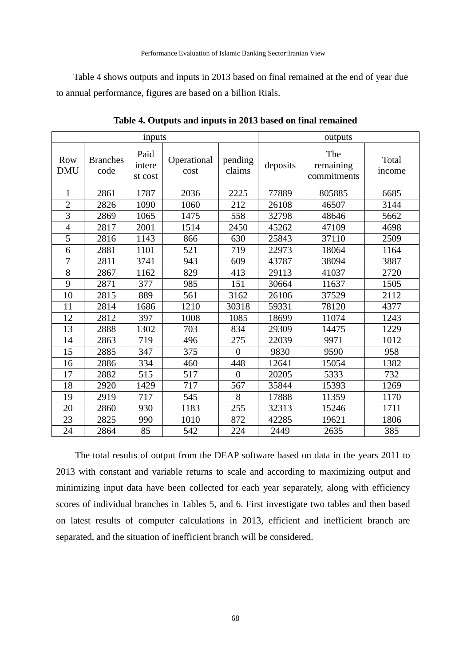Table 4 shows outputs and inputs in 2013 based on final remained at the end of year due to annual performance, figures are based on a billion Rials.

| inputs                   |                         |                           |                     |                   | outputs  |                                 |                 |  |
|--------------------------|-------------------------|---------------------------|---------------------|-------------------|----------|---------------------------------|-----------------|--|
| <b>Row</b><br><b>DMU</b> | <b>Branches</b><br>code | Paid<br>intere<br>st cost | Operational<br>cost | pending<br>claims | deposits | The<br>remaining<br>commitments | Total<br>income |  |
| 1                        | 2861                    | 1787                      | 2036                | 2225              | 77889    | 805885                          | 6685            |  |
| $\overline{2}$           | 2826                    | 1090                      | 1060                | 212               | 26108    | 46507                           | 3144            |  |
| $\overline{3}$           | 2869                    | 1065                      | 1475                | 558               | 32798    | 48646                           | 5662            |  |
| $\overline{4}$           | 2817                    | 2001                      | 1514                | 2450              | 45262    | 47109                           | 4698            |  |
| 5                        | 2816                    | 1143                      | 866                 | 630               | 25843    | 37110                           | 2509            |  |
| 6                        | 2881                    | 1101                      | 521                 | 719               | 22973    | 18064                           | 1164            |  |
| $\overline{7}$           | 2811                    | 3741                      | 943                 | 609               | 43787    | 38094                           | 3887            |  |
| 8                        | 2867                    | 1162                      | 829                 | 413               | 29113    | 41037                           | 2720            |  |
| 9                        | 2871                    | 377                       | 985                 | 151               | 30664    | 11637                           | 1505            |  |
| 10                       | 2815                    | 889                       | 561                 | 3162              | 26106    | 37529                           | 2112            |  |
| 11                       | 2814                    | 1686                      | 1210                | 30318             | 59331    | 78120                           | 4377            |  |
| 12                       | 2812                    | 397                       | 1008                | 1085              | 18699    | 11074                           | 1243            |  |
| 13                       | 2888                    | 1302                      | 703                 | 834               | 29309    | 14475                           | 1229            |  |
| 14                       | 2863                    | 719                       | 496                 | 275               | 22039    | 9971                            | 1012            |  |
| 15                       | 2885                    | 347                       | 375                 | $\theta$          | 9830     | 9590                            | 958             |  |
| 16                       | 2886                    | 334                       | 460                 | 448               | 12641    | 15054                           | 1382            |  |
| 17                       | 2882                    | 515                       | 517                 | $\overline{0}$    | 20205    | 5333                            | 732             |  |
| 18                       | 2920                    | 1429                      | 717                 | 567               | 35844    | 15393                           | 1269            |  |
| 19                       | 2919                    | 717                       | 545                 | 8                 | 17888    | 11359                           | 1170            |  |
| 20                       | 2860                    | 930                       | 1183                | 255               | 32313    | 15246                           | 1711            |  |
| 23                       | 2825                    | 990                       | 1010                | 872               | 42285    | 19621                           | 1806            |  |
| 24                       | 2864                    | 85                        | 542                 | 224               | 2449     | 2635                            | 385             |  |

**Table 4. Outputs and inputs in 2013 based on final remained**

The total results of output from the DEAP software based on data in the years 2011 to 2013 with constant and variable returns to scale and according to maximizing output and minimizing input data have been collected for each year separately, along with efficiency scores of individual branches in Tables 5, and 6. First investigate two tables and then based on latest results of computer calculations in 2013, efficient and inefficient branch are separated, and the situation of inefficient branch will be considered.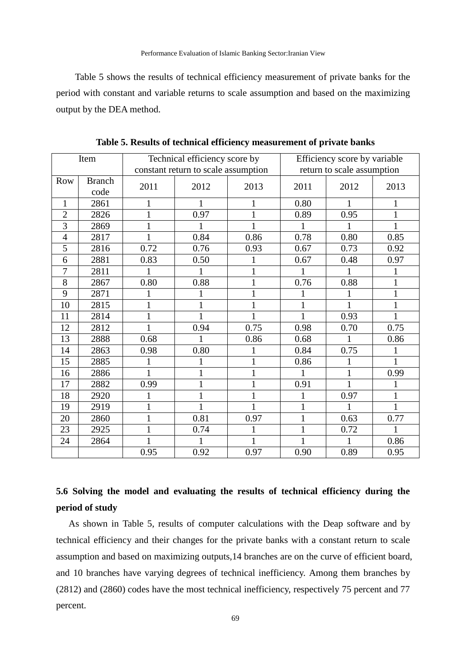Table 5 shows the results of technical efficiency measurement of private banks for the period with constant and variable returns to scale assumption and based on the maximizing output by the DEA method.

|                | Item          |                                     | Technical efficiency score by |      |                            | Efficiency score by variable |             |  |
|----------------|---------------|-------------------------------------|-------------------------------|------|----------------------------|------------------------------|-------------|--|
|                |               | constant return to scale assumption |                               |      | return to scale assumption |                              |             |  |
| Row            | <b>Branch</b> | 2011                                | 2012                          | 2013 | 2011                       | 2012                         | 2013        |  |
|                | code          |                                     |                               |      |                            |                              |             |  |
| $\mathbf{1}$   | 2861          |                                     | 1                             |      | 0.80                       | 1                            | 1           |  |
| $\overline{2}$ | 2826          |                                     | 0.97                          |      | 0.89                       | 0.95                         | 1           |  |
| 3              | 2869          | 1                                   |                               |      |                            |                              | 1           |  |
| $\overline{4}$ | 2817          |                                     | 0.84                          | 0.86 | 0.78                       | 0.80                         | 0.85        |  |
| 5              | 2816          | 0.72                                | 0.76                          | 0.93 | 0.67                       | 0.73                         | 0.92        |  |
| 6              | 2881          | 0.83                                | 0.50                          |      | 0.67                       | 0.48                         | 0.97        |  |
| 7              | 2811          |                                     |                               | 1    |                            | 1                            | 1           |  |
| 8              | 2867          | 0.80                                | 0.88                          |      | 0.76                       | 0.88                         | $\mathbf 1$ |  |
| 9              | 2871          |                                     | 1                             |      |                            | 1                            | 1           |  |
| 10             | 2815          |                                     |                               |      |                            | 1                            | 1           |  |
| 11             | 2814          | 1                                   | 1                             |      |                            | 0.93                         | 1           |  |
| 12             | 2812          |                                     | 0.94                          | 0.75 | 0.98                       | 0.70                         | 0.75        |  |
| 13             | 2888          | 0.68                                | 1                             | 0.86 | 0.68                       | 1                            | 0.86        |  |
| 14             | 2863          | 0.98                                | 0.80                          |      | 0.84                       | 0.75                         |             |  |
| 15             | 2885          |                                     |                               |      | 0.86                       |                              | 1           |  |
| 16             | 2886          |                                     |                               |      |                            | 1                            | 0.99        |  |
| 17             | 2882          | 0.99                                | $\mathbf{1}$                  |      | 0.91                       | 1                            |             |  |
| 18             | 2920          |                                     | 1                             |      |                            | 0.97                         | 1           |  |
| 19             | 2919          |                                     | 1                             |      |                            |                              | 1           |  |
| 20             | 2860          | 1                                   | 0.81                          | 0.97 | 1                          | 0.63                         | 0.77        |  |
| 23             | 2925          | $\mathbf{1}$                        | 0.74                          |      |                            | 0.72                         | 1           |  |
| 24             | 2864          |                                     | 1                             |      |                            | 1                            | 0.86        |  |
|                |               | 0.95                                | 0.92                          | 0.97 | 0.90                       | 0.89                         | 0.95        |  |

**Table 5. Results of technical efficiency measurement of private banks**

# **5.6 Solving the model and evaluating the results of technical efficiency during the period of study**

As shown in Table 5, results of computer calculations with the Deap software and by technical efficiency and their changes for the private banks with a constant return to scale assumption and based on maximizing outputs,14 branches are on the curve of efficient board, and 10 branches have varying degrees of technical inefficiency. Among them branches by (2812) and (2860) codes have the most technical inefficiency, respectively 75 percent and 77 percent.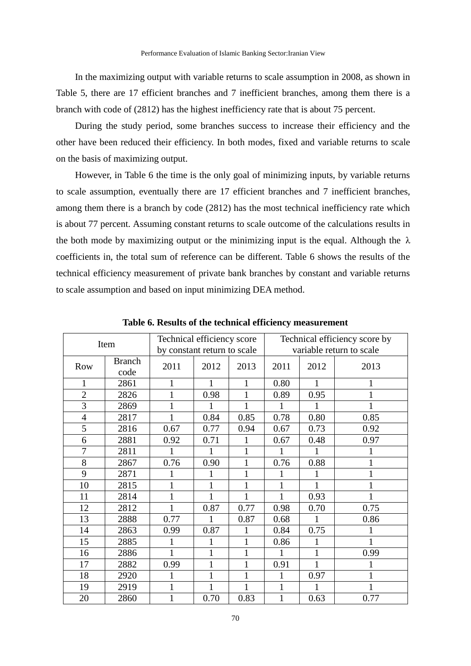In the maximizing output with variable returns to scale assumption in 2008, as shown in Table 5, there are 17 efficient branches and 7 inefficient branches, among them there is a branch with code of (2812) has the highest inefficiency rate that is about 75 percent.

During the study period, some branches success to increase their efficiency and the other have been reduced their efficiency. In both modes, fixed and variable returns to scale on the basis of maximizing output.

However, in Table 6 the time is the only goal of minimizing inputs, by variable returns to scale assumption, eventually there are 17 efficient branches and 7 inefficient branches, among them there is a branch by code (2812) has the most technical inefficiency rate which is about 77 percent. Assuming constant returns to scale outcome of the calculations results in the both mode by maximizing output or the minimizing input is the equal. Although the  $\lambda$ coefficients in, the total sum of reference can be different. Table 6 shows the results of the technical efficiency measurement of private bank branches by constant and variable returns to scale assumption and based on input minimizing DEA method.

| Item           |               | Technical efficiency score  |      |              | Technical efficiency score by |      |              |  |
|----------------|---------------|-----------------------------|------|--------------|-------------------------------|------|--------------|--|
|                |               | by constant return to scale |      |              | variable return to scale      |      |              |  |
|                | <b>Branch</b> |                             |      |              |                               |      |              |  |
| Row            | code          | 2011                        | 2012 | 2013         | 2011                          | 2012 | 2013         |  |
| 1              | 2861          | 1                           | 1    | 1            | 0.80                          |      | 1            |  |
| $\overline{2}$ | 2826          | $\mathbf{1}$                | 0.98 | $\mathbf{1}$ | 0.89                          | 0.95 |              |  |
| 3              | 2869          | $\mathbf{1}$                |      | 1            |                               |      |              |  |
| 4              | 2817          | 1                           | 0.84 | 0.85         | 0.78                          | 0.80 | 0.85         |  |
| 5              | 2816          | 0.67                        | 0.77 | 0.94         | 0.67                          | 0.73 | 0.92         |  |
| 6              | 2881          | 0.92                        | 0.71 |              | 0.67                          | 0.48 | 0.97         |  |
| $\overline{7}$ | 2811          |                             |      | 1            |                               |      |              |  |
| 8              | 2867          | 0.76                        | 0.90 | 1            | 0.76                          | 0.88 | $\mathbf{1}$ |  |
| 9              | 2871          |                             |      | 1            |                               |      | 1            |  |
| 10             | 2815          | 1                           | 1    |              | 1                             |      |              |  |
| 11             | 2814          | 1                           |      |              | 1                             | 0.93 |              |  |
| 12             | 2812          | 1                           | 0.87 | 0.77         | 0.98                          | 0.70 | 0.75         |  |
| 13             | 2888          | 0.77                        |      | 0.87         | 0.68                          |      | 0.86         |  |
| 14             | 2863          | 0.99                        | 0.87 |              | 0.84                          | 0.75 |              |  |
| 15             | 2885          | 1                           | 1    | 1            | 0.86                          | 1    |              |  |
| 16             | 2886          | 1                           | 1    | 1            | 1                             | 1    | 0.99         |  |
| 17             | 2882          | 0.99                        | 1    | $\mathbf{1}$ | 0.91                          |      |              |  |
| 18             | 2920          | 1                           | 1    | $\mathbf{1}$ | 1                             | 0.97 |              |  |
| 19             | 2919          | 1                           |      | 1            | $\mathbf{1}$                  | 1    |              |  |
| 20             | 2860          | 1                           | 0.70 | 0.83         | 1                             | 0.63 | 0.77         |  |

**Table 6. Results of the technical efficiency measurement**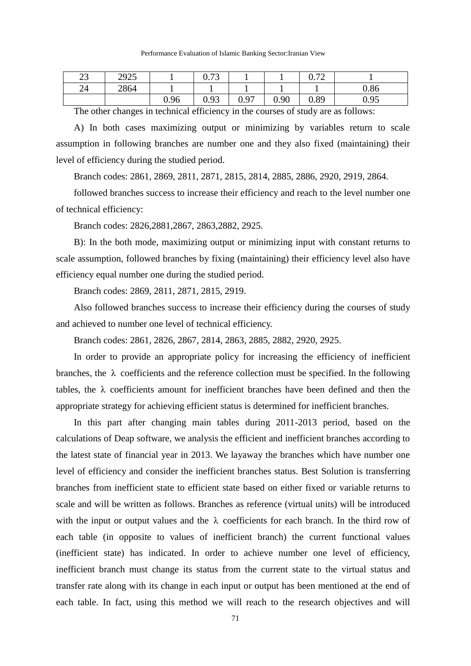| Performance Evaluation of Islamic Banking Sector: Iranian View |  |
|----------------------------------------------------------------|--|
|----------------------------------------------------------------|--|

| າາ<br>رے | 2925   |                                           | $\alpha$ 72<br>v. 1 J |      |        | $\Omega$ 70<br>0.12 |      |
|----------|--------|-------------------------------------------|-----------------------|------|--------|---------------------|------|
| 24       | 2864   |                                           |                       |      |        |                     | 0.86 |
|          |        | 0.96                                      | 0.93                  | 0.97 | 0.90   | 0.89                | 0.95 |
|          | $\sim$ | $\sim$ $\sim$ $\sim$ $\sim$ $\sim$ $\sim$ |                       | .    | $\sim$ |                     | ---  |

The other changes in technical efficiency in the courses of study are as follows:

A) In both cases maximizing output or minimizing by variables return to scale assumption in following branches are number one and they also fixed (maintaining) their level of efficiency during the studied period.

Branch codes: 2861, 2869, 2811, 2871, 2815, 2814, 2885, 2886, 2920, 2919, 2864.

followed branches success to increase their efficiency and reach to the level number one of technical efficiency:

Branch codes: 2826,2881,2867, 2863,2882, 2925.

B): In the both mode, maximizing output or minimizing input with constant returns to scale assumption, followed branches by fixing (maintaining) their efficiency level also have efficiency equal number one during the studied period.

Branch codes: 2869, 2811, 2871, 2815, 2919.

Also followed branches success to increase their efficiency during the courses of study and achieved to number one level of technical efficiency.

Branch codes: 2861, 2826, 2867, 2814, 2863, 2885, 2882, 2920, 2925.

In order to provide an appropriate policy for increasing the efficiency of inefficient branches, the  $\lambda$  coefficients and the reference collection must be specified. In the following tables, the  $\lambda$  coefficients amount for inefficient branches have been defined and then the appropriate strategy for achieving efficient status is determined for inefficient branches.

In this part after changing main tables during 2011-2013 period, based on the calculations of Deap software, we analysis the efficient and inefficient branches according to the latest state of financial year in 2013. We layaway the branches which have number one level of efficiency and consider the inefficient branches status. Best Solution is transferring branches from inefficient state to efficient state based on either fixed or variable returns to scale and will be written as follows. Branches as reference (virtual units) will be introduced with the input or output values and the  $\lambda$  coefficients for each branch. In the third row of each table (in opposite to values of inefficient branch) the current functional values (inefficient state) has indicated. In order to achieve number one level of efficiency, inefficient branch must change its status from the current state to the virtual status and transfer rate along with its change in each input or output has been mentioned at the end of each table. In fact, using this method we will reach to the research objectives and will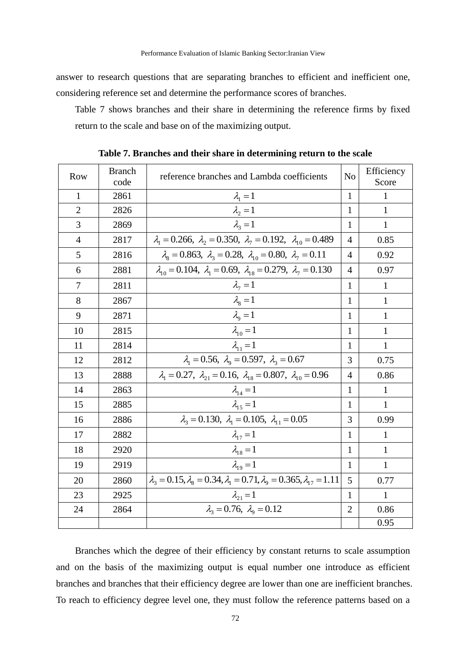answer to research questions that are separating branches to efficient and inefficient one, considering reference set and determine the performance scores of branches.

Table 7 shows branches and their share in determining the reference firms by fixed return to the scale and base on of the maximizing output.

| <b>Row</b>     | <b>Branch</b><br>code | reference branches and Lambda coefficients                                                         | N <sub>o</sub> | Efficiency<br>Score |
|----------------|-----------------------|----------------------------------------------------------------------------------------------------|----------------|---------------------|
| 1              | 2861                  | $\lambda_1=1$                                                                                      | 1              | 1                   |
| $\overline{2}$ | 2826                  | $\lambda_2 = 1$                                                                                    | 1              | $\mathbf{1}$        |
| 3              | 2869                  | $\lambda_2=1$                                                                                      | 1              | $\mathbf{1}$        |
| 4              | 2817                  | $\lambda_1 = 0.266$ , $\lambda_2 = 0.350$ , $\lambda_7 = 0.192$ , $\lambda_{10} = 0.489$           | $\overline{4}$ | 0.85                |
| 5              | 2816                  | $\lambda_{\rm s} = 0.863, \lambda_{\rm s} = 0.28, \lambda_{\rm 10} = 0.80, \lambda_{\rm 7} = 0.11$ | $\overline{4}$ | 0.92                |
| 6              | 2881                  | $\lambda_{10} = 0.104, \lambda_1 = 0.69, \lambda_{18} = 0.279, \lambda_7 = 0.130$                  | $\overline{4}$ | 0.97                |
| 7              | 2811                  | $\lambda_7=1$                                                                                      | 1              | 1                   |
| 8              | 2867                  | $\lambda_{\rm s}=1$                                                                                | 1              | $\mathbf{1}$        |
| 9              | 2871                  | $\lambda_{\rm o}=1$                                                                                | 1              | 1                   |
| 10             | 2815                  | $\lambda_{10} = 1$                                                                                 | 1              | $\mathbf{1}$        |
| 11             | 2814                  | $\lambda_{11}=1$                                                                                   | 1              | $\mathbf{1}$        |
| 12             | 2812                  | $\lambda_1 = 0.56$ , $\lambda_0 = 0.597$ , $\lambda_3 = 0.67$                                      | 3              | 0.75                |
| 13             | 2888                  | $\lambda_1 = 0.27$ , $\lambda_{21} = 0.16$ , $\lambda_{18} = 0.807$ , $\lambda_{10} = 0.96$        | $\overline{4}$ | 0.86                |
| 14             | 2863                  | $\lambda_{14}=1$                                                                                   | 1              | 1                   |
| 15             | 2885                  | $\lambda_{15}=1$                                                                                   | 1              | 1                   |
| 16             | 2886                  | $\lambda_3 = 0.130, \lambda_1 = 0.105, \lambda_{11} = 0.05$                                        | 3              | 0.99                |
| 17             | 2882                  | $\lambda_{17}=1$                                                                                   | 1              | 1                   |
| 18             | 2920                  | $\lambda_{18}=1$                                                                                   | $\mathbf{1}$   | $\mathbf{1}$        |
| 19             | 2919                  | $\lambda_{19}=1$                                                                                   | 1              | $\mathbf{1}$        |
| 20             | 2860                  | $\lambda_3 = 0.15, \lambda_8 = 0.34, \lambda_1 = 0.71, \lambda_9 = 0.365, \lambda_{17} = 1.11$     | 5              | 0.77                |
| 23             | 2925                  | $\lambda_{21} = 1$                                                                                 | $\mathbf{1}$   | 1                   |
| 24             | 2864                  | $\lambda_3 = 0.76$ , $\lambda_9 = 0.12$                                                            | $\overline{2}$ | 0.86                |
|                |                       |                                                                                                    |                | 0.95                |

**Table 7. Branches and their share in determining return to the scale**

Branches which the degree of their efficiency by constant returns to scale assumption and on the basis of the maximizing output is equal number one introduce as efficient branches and branches that their efficiency degree are lower than one are inefficient branches. To reach to efficiency degree level one, they must follow the reference patterns based on a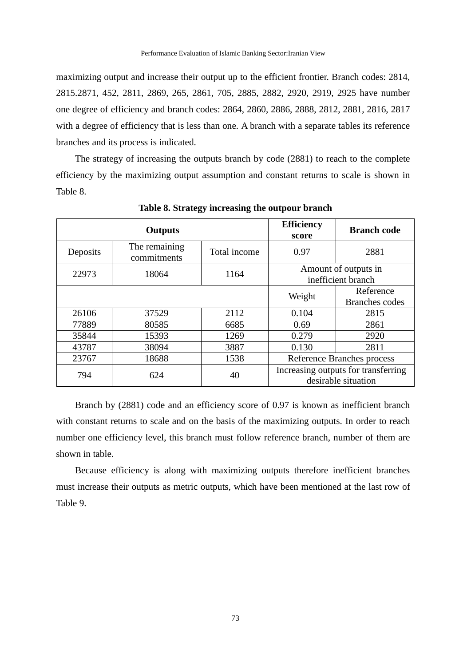maximizing output and increase their output up to the efficient frontier. Branch codes: 2814, 2815.2871, 452, 2811, 2869, 265, 2861, 705, 2885, 2882, 2920, 2919, 2925 have number one degree of efficiency and branch codes: 2864, 2860, 2886, 2888, 2812, 2881, 2816, 2817 with a degree of efficiency that is less than one. A branch with a separate tables its reference branches and its process is indicated.

The strategy of increasing the outputs branch by code (2881) to reach to the complete efficiency by the maximizing output assumption and constant returns to scale is shown in Table 8.

|          | <b>Outputs</b>               |              | <b>Efficiency</b><br>score | <b>Branch code</b>                                         |
|----------|------------------------------|--------------|----------------------------|------------------------------------------------------------|
| Deposits | The remaining<br>commitments | Total income | 0.97                       | 2881                                                       |
| 22973    | 18064                        | 1164         |                            | Amount of outputs in<br>inefficient branch                 |
|          |                              |              | Weight                     | Reference<br><b>Branches</b> codes                         |
| 26106    | 37529                        | 2112         | 0.104                      | 2815                                                       |
| 77889    | 80585                        | 6685         | 0.69                       | 2861                                                       |
| 35844    | 15393                        | 1269         | 0.279                      | 2920                                                       |
| 43787    | 38094                        | 3887         | 0.130                      | 2811                                                       |
| 23767    | 18688                        | 1538         |                            | Reference Branches process                                 |
| 794      | 624                          | 40           |                            | Increasing outputs for transferring<br>desirable situation |

**Table 8. Strategy increasing the outpour branch**

Branch by (2881) code and an efficiency score of 0.97 is known as inefficient branch with constant returns to scale and on the basis of the maximizing outputs. In order to reach number one efficiency level, this branch must follow reference branch, number of them are shown in table.

Because efficiency is along with maximizing outputs therefore inefficient branches must increase their outputs as metric outputs, which have been mentioned at the last row of Table 9.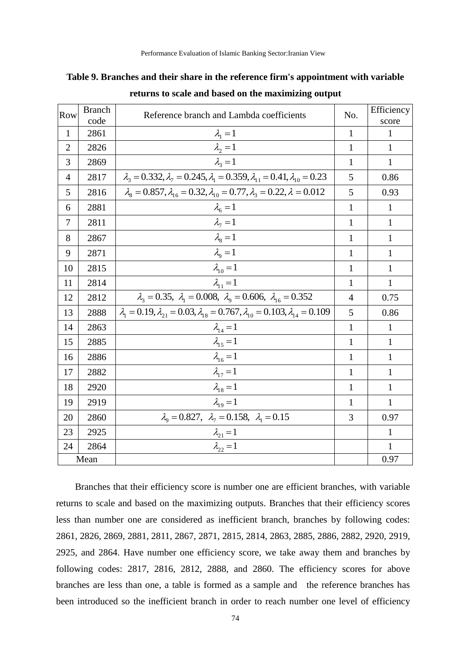|  |  |  | Table 9. Branches and their share in the reference firm's appointment with variable |  |
|--|--|--|-------------------------------------------------------------------------------------|--|
|  |  |  |                                                                                     |  |

| Row            | <b>Branch</b><br>code | Reference branch and Lambda coefficients                                                                  | No.            | Efficiency<br>score |
|----------------|-----------------------|-----------------------------------------------------------------------------------------------------------|----------------|---------------------|
| $\mathbf{1}$   | 2861                  | $\lambda_1 = 1$                                                                                           | $\mathbf{1}$   | $\mathbf{1}$        |
| $\overline{2}$ | 2826                  | $\lambda_2 = 1$                                                                                           | 1              | 1                   |
| 3              | 2869                  | $\lambda_3=1$                                                                                             | $\mathbf{1}$   | 1                   |
| 4              | 2817                  | $\lambda_1 = 0.332, \lambda_7 = 0.245, \lambda_1 = 0.359, \lambda_{11} = 0.41, \lambda_{10} = 0.23$       | 5              | 0.86                |
| 5              | 2816                  | $\lambda_{8} = 0.857, \lambda_{16} = 0.32, \lambda_{10} = 0.77, \lambda_{3} = 0.22, \lambda = 0.012$      | 5              | 0.93                |
| 6              | 2881                  | $\lambda_6 = 1$                                                                                           | $\mathbf{1}$   | $\mathbf{1}$        |
| 7              | 2811                  | $\lambda_7=1$                                                                                             | 1              | $\mathbf{1}$        |
| 8              | 2867                  | $\lambda_{\rm s}=1$                                                                                       | $\mathbf{1}$   | $\mathbf{1}$        |
| 9              | 2871                  | $\lambda_{\rm o}=1$                                                                                       | 1              | 1                   |
| 10             | 2815                  | $\lambda_{10} = 1$                                                                                        | $\mathbf{1}$   | $\mathbf{1}$        |
| 11             | 2814                  | $\lambda_{11}=1$                                                                                          | 1              | 1                   |
| 12             | 2812                  | $\lambda_3 = 0.35$ , $\lambda_1 = 0.008$ , $\lambda_9 = 0.606$ , $\lambda_{16} = 0.352$                   | $\overline{4}$ | 0.75                |
| 13             | 2888                  | $\lambda_1 = 0.19, \lambda_{21} = 0.03, \lambda_{18} = 0.767, \lambda_{10} = 0.103, \lambda_{14} = 0.109$ | 5              | 0.86                |
| 14             | 2863                  | $\lambda_{14} = 1$                                                                                        | $\mathbf{1}$   | 1                   |
| 15             | 2885                  | $\lambda_{15}=1$                                                                                          | 1              | 1                   |
| 16             | 2886                  | $\lambda_{16}=1$                                                                                          | $\mathbf{1}$   | 1                   |
| 17             | 2882                  | $\lambda_{17} = 1$                                                                                        | $\mathbf{1}$   | 1                   |
| 18             | 2920                  | $\lambda_{18}=1$                                                                                          | $\mathbf{1}$   | $\mathbf{1}$        |
| 19             | 2919                  | $\lambda_{19} = 1$                                                                                        | $\mathbf{1}$   | $\mathbf{1}$        |
| 20             | 2860                  | $\lambda_9 = 0.827$ , $\lambda_7 = 0.158$ , $\lambda_1 = 0.15$                                            | 3              | 0.97                |
| 23             | 2925                  | $\lambda_{21} = 1$                                                                                        |                | $\mathbf{1}$        |
| 24             | 2864                  | $\lambda_{22} = 1$                                                                                        |                | $\mathbf{1}$        |
|                | Mean                  |                                                                                                           |                | 0.97                |

**returns to scale and based on the maximizing output**

Branches that their efficiency score is number one are efficient branches, with variable returns to scale and based on the maximizing outputs. Branches that their efficiency scores less than number one are considered as inefficient branch, branches by following codes: 2861, 2826, 2869, 2881, 2811, 2867, 2871, 2815, 2814, 2863, 2885, 2886, 2882, 2920, 2919, 2925, and 2864. Have number one efficiency score, we take away them and branches by following codes: 2817, 2816, 2812, 2888, and 2860. The efficiency scores for above branches are less than one, a table is formed as a sample and the reference branches has been introduced so the inefficient branch in order to reach number one level of efficiency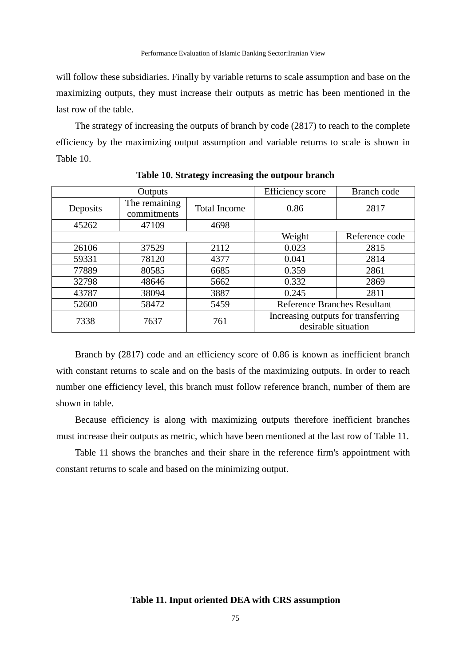will follow these subsidiaries. Finally by variable returns to scale assumption and base on the maximizing outputs, they must increase their outputs as metric has been mentioned in the last row of the table.

The strategy of increasing the outputs of branch by code (2817) to reach to the complete efficiency by the maximizing output assumption and variable returns to scale is shown in Table 10.

|          | Outputs                      |                     | Efficiency score                                           | Branch code    |
|----------|------------------------------|---------------------|------------------------------------------------------------|----------------|
| Deposits | The remaining<br>commitments | <b>Total Income</b> | 0.86                                                       | 2817           |
| 45262    | 47109                        | 4698                |                                                            |                |
|          |                              |                     | Weight                                                     | Reference code |
| 26106    | 37529                        | 2112                | 0.023                                                      | 2815           |
| 59331    | 78120                        | 4377                | 0.041                                                      | 2814           |
| 77889    | 80585                        | 6685                | 0.359                                                      | 2861           |
| 32798    | 48646                        | 5662                | 0.332                                                      | 2869           |
| 43787    | 38094                        | 3887                | 2811<br>0.245                                              |                |
| 52600    | 58472                        | 5459                | <b>Reference Branches Resultant</b>                        |                |
| 7338     | 7637                         | 761                 | Increasing outputs for transferring<br>desirable situation |                |

**Table 10. Strategy increasing the outpour branch**

Branch by (2817) code and an efficiency score of 0.86 is known as inefficient branch with constant returns to scale and on the basis of the maximizing outputs. In order to reach number one efficiency level, this branch must follow reference branch, number of them are shown in table.

Because efficiency is along with maximizing outputs therefore inefficient branches must increase their outputs as metric, which have been mentioned at the last row of Table 11.

Table 11 shows the branches and their share in the reference firm's appointment with constant returns to scale and based on the minimizing output.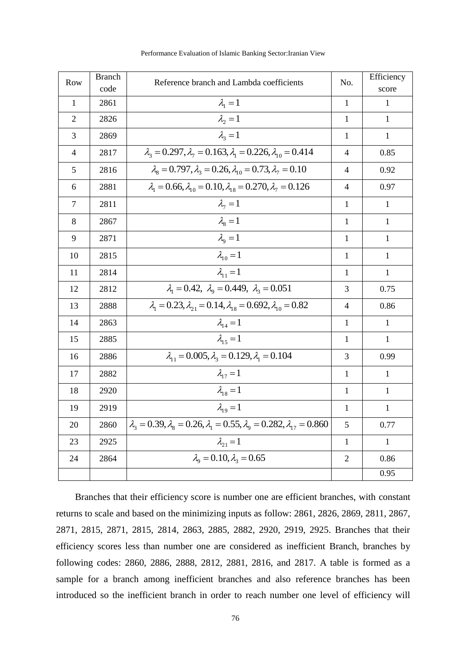| Row            | <b>Branch</b> | Reference branch and Lambda coefficients                                                           |                | Efficiency   |
|----------------|---------------|----------------------------------------------------------------------------------------------------|----------------|--------------|
|                | code          |                                                                                                    |                | score        |
| $\mathbf{1}$   | 2861          | $\lambda_1=1$                                                                                      | $\mathbf{1}$   | $\mathbf{1}$ |
| $\overline{2}$ | 2826          | $\lambda_2 = 1$                                                                                    | $\mathbf{1}$   | $\mathbf{1}$ |
| 3              | 2869          | $\lambda_{2}=1$                                                                                    | $\mathbf{1}$   | $\mathbf{1}$ |
| $\overline{4}$ | 2817          | $\lambda_1 = 0.297, \lambda_1 = 0.163, \lambda_1 = 0.226, \lambda_{10} = 0.414$                    | $\overline{4}$ | 0.85         |
| 5              | 2816          | $\lambda_{\rm s} = 0.797, \lambda_{\rm s} = 0.26, \lambda_{\rm 10} = 0.73, \lambda_{\rm 7} = 0.10$ | $\overline{4}$ | 0.92         |
| 6              | 2881          | $\lambda_1 = 0.66, \lambda_{10} = 0.10, \lambda_{18} = 0.270, \lambda_7 = 0.126$                   | 4              | 0.97         |
| $\tau$         | 2811          | $\lambda_7=1$                                                                                      | $\mathbf{1}$   | $\mathbf{1}$ |
| 8              | 2867          | $\lambda_{\rm s}=1$                                                                                | $\mathbf{1}$   | $\mathbf{1}$ |
| 9              | 2871          | $\lambda_{\rm o}=1$                                                                                | $\mathbf{1}$   | $\mathbf{1}$ |
| 10             | 2815          | $\lambda_{10}=1$                                                                                   | $\mathbf{1}$   | $\mathbf{1}$ |
| 11             | 2814          | $\lambda_{11}=1$                                                                                   | $\mathbf{1}$   | $\mathbf{1}$ |
| 12             | 2812          | $\lambda_1 = 0.42$ , $\lambda_9 = 0.449$ , $\lambda_3 = 0.051$                                     | 3              | 0.75         |
| 13             | 2888          | $\lambda_1 = 0.23, \lambda_{21} = 0.14, \lambda_{18} = 0.692, \lambda_{10} = 0.82$                 | $\overline{4}$ | 0.86         |
| 14             | 2863          | $\lambda_{14}=1$                                                                                   | $\mathbf{1}$   | $\mathbf{1}$ |
| 15             | 2885          | $\lambda_{15}=1$                                                                                   | $\mathbf{1}$   | $\mathbf{1}$ |
| 16             | 2886          | $\lambda_1 = 0.005, \lambda_2 = 0.129, \lambda_1 = 0.104$                                          | 3              | 0.99         |
| 17             | 2882          | $\lambda_{17}=1$                                                                                   | $\mathbf{1}$   | $\mathbf{1}$ |
| 18             | 2920          | $\lambda_{18} = 1$                                                                                 | $\mathbf{1}$   | $\mathbf{1}$ |
| 19             | 2919          | $\lambda_{19} = 1$                                                                                 | $\mathbf{1}$   | $\mathbf{1}$ |
| 20             | 2860          | $\lambda_3 = 0.39, \lambda_8 = 0.26, \lambda_1 = 0.55, \lambda_9 = 0.282, \lambda_{17} = 0.860$    | 5              | 0.77         |
| 23             | 2925          | $\lambda_{21} = 1$                                                                                 | $\mathbf{1}$   | $\mathbf{1}$ |
| 24             | 2864          | $\lambda_{0} = 0.10, \lambda_{3} = 0.65$                                                           | $\overline{2}$ | 0.86         |
|                |               |                                                                                                    |                | 0.95         |

Performance Evaluation of Islamic Banking Sector:Iranian View

Branches that their efficiency score is number one are efficient branches, with constant returns to scale and based on the minimizing inputs as follow: 2861, 2826, 2869, 2811, 2867, 2871, 2815, 2871, 2815, 2814, 2863, 2885, 2882, 2920, 2919, 2925. Branches that their efficiency scores less than number one are considered as inefficient Branch, branches by following codes: 2860, 2886, 2888, 2812, 2881, 2816, and 2817. A table is formed as a sample for a branch among inefficient branches and also reference branches has been introduced so the inefficient branch in order to reach number one level of efficiency will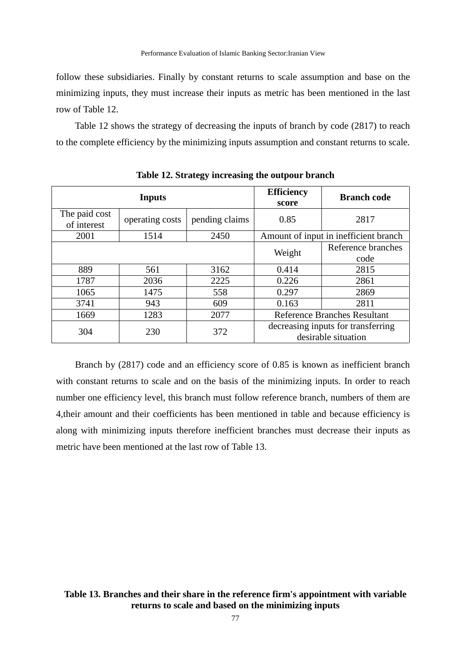follow these subsidiaries. Finally by constant returns to scale assumption and base on the minimizing inputs, they must increase their inputs as metric has been mentioned in the last row of Table 12.

Table 12 shows the strategy of decreasing the inputs of branch by code (2817) to reach to the complete efficiency by the minimizing inputs assumption and constant returns to scale.

|                              | <b>Inputs</b>   | <b>Efficiency</b><br>score | <b>Branch code</b>                                        |                                       |  |
|------------------------------|-----------------|----------------------------|-----------------------------------------------------------|---------------------------------------|--|
| The paid cost<br>of interest | operating costs | pending claims             | 0.85                                                      | 2817                                  |  |
| 2001                         | 1514            | 2450                       |                                                           | Amount of input in inefficient branch |  |
|                              |                 |                            | Weight                                                    | Reference branches                    |  |
|                              |                 |                            |                                                           | code                                  |  |
| 889                          | 561             | 3162                       | 0.414                                                     | 2815                                  |  |
| 1787                         | 2036            | 2225                       | 0.226                                                     | 2861                                  |  |
| 1065                         | 1475            | 558                        | 0.297                                                     | 2869                                  |  |
| 3741                         | 943             | 609                        | 0.163                                                     | 2811                                  |  |
| 1669                         | 1283            | 2077                       | <b>Reference Branches Resultant</b>                       |                                       |  |
| 304                          | 230             | 372                        | decreasing inputs for transferring<br>desirable situation |                                       |  |

**Table 12. Strategy increasing the outpour branch**

Branch by (2817) code and an efficiency score of 0.85 is known as inefficient branch with constant returns to scale and on the basis of the minimizing inputs. In order to reach number one efficiency level, this branch must follow reference branch, numbers of them are 4,their amount and their coefficients has been mentioned in table and because efficiency is along with minimizing inputs therefore inefficient branches must decrease their inputs as metric have been mentioned at the last row of Table 13.

# **Table 13. Branches and their share in the reference firm's appointment with variable returns to scale and based on the minimizing inputs**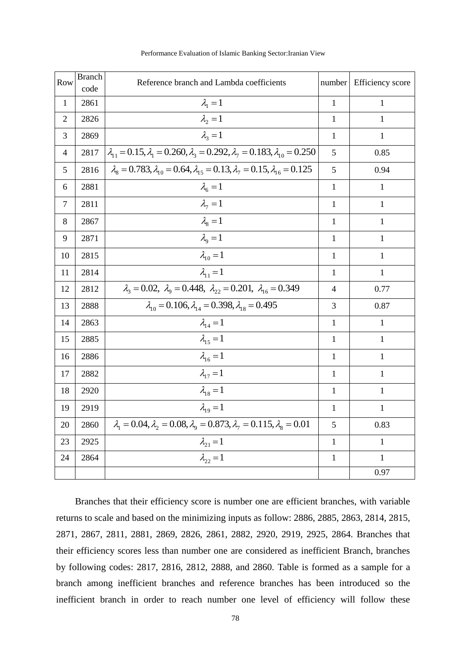| Row            | <b>Branch</b><br>code | Reference branch and Lambda coefficients                                                                   |                | Efficiency score |
|----------------|-----------------------|------------------------------------------------------------------------------------------------------------|----------------|------------------|
| $\mathbf{1}$   | 2861                  | $\lambda_1=1$                                                                                              |                | 1                |
| $\overline{2}$ | 2826                  | $\lambda_2 = 1$                                                                                            | 1              | 1                |
| 3              | 2869                  | $\lambda_2=1$                                                                                              | $\mathbf{1}$   | $\mathbf{1}$     |
| $\overline{4}$ | 2817                  | $\lambda_{11} = 0.15, \lambda_{1} = 0.260, \lambda_{3} = 0.292, \lambda_{7} = 0.183, \lambda_{10} = 0.250$ | 5              | 0.85             |
| 5              | 2816                  | $\lambda_{8} = 0.783, \lambda_{10} = 0.64, \lambda_{15} = 0.13, \lambda_{7} = 0.15, \lambda_{16} = 0.125$  | 5              | 0.94             |
| 6              | 2881                  | $\lambda_{6}=1$                                                                                            | $\mathbf{1}$   | $\mathbf{1}$     |
| $\tau$         | 2811                  | $\lambda_7=1$                                                                                              | 1              | $\mathbf{1}$     |
| 8              | 2867                  | $\lambda_{\rm s}=1$                                                                                        | $\mathbf{1}$   | $\mathbf{1}$     |
| 9              | 2871                  | $\lambda_{0}=1$                                                                                            | $\mathbf{1}$   | 1                |
| 10             | 2815                  | $\lambda_{10} = 1$                                                                                         | $\mathbf{1}$   | $\mathbf{1}$     |
| 11             | 2814                  | $\lambda_{11}=1$                                                                                           | 1              | 1                |
| 12             | 2812                  | $\lambda_3 = 0.02$ , $\lambda_9 = 0.448$ , $\lambda_{22} = 0.201$ , $\lambda_{16} = 0.349$                 | $\overline{4}$ | 0.77             |
| 13             | 2888                  | $\lambda_{10} = 0.106, \lambda_{14} = 0.398, \lambda_{18} = 0.495$                                         | 3              | 0.87             |
| 14             | 2863                  | $\lambda_{14}=1$                                                                                           | $\mathbf{1}$   | $\mathbf{1}$     |
| 15             | 2885                  | $\lambda_{15}=1$                                                                                           | $\mathbf{1}$   | 1                |
| 16             | 2886                  | $\lambda_{16}=1$                                                                                           | $\mathbf{1}$   | $\mathbf{1}$     |
| 17             | 2882                  | $\lambda_{17}=1$                                                                                           | $\mathbf{1}$   | $\mathbf{1}$     |
| 18             | 2920                  | $\lambda_{18} = 1$                                                                                         | $\mathbf{1}$   | 1                |
| 19             | 2919                  | $\lambda_{19}=1$                                                                                           | $\mathbf{1}$   | $\mathbf{1}$     |
| 20             | 2860                  | $\lambda_1 = 0.04, \lambda_2 = 0.08, \lambda_9 = 0.873, \lambda_7 = 0.115, \lambda_8 = 0.01$               | 5              | 0.83             |
| 23             | 2925                  | $\lambda_{21} = 1$                                                                                         | $\mathbf{1}$   | 1                |
| 24             | 2864                  | $\lambda_{22}=1$                                                                                           | $\mathbf{1}$   | 1                |
|                |                       |                                                                                                            |                | 0.97             |

Performance Evaluation of Islamic Banking Sector:Iranian View

Branches that their efficiency score is number one are efficient branches, with variable returns to scale and based on the minimizing inputs as follow: 2886, 2885, 2863, 2814, 2815, 2871, 2867, 2811, 2881, 2869, 2826, 2861, 2882, 2920, 2919, 2925, 2864. Branches that their efficiency scores less than number one are considered as inefficient Branch, branches by following codes: 2817, 2816, 2812, 2888, and 2860. Table is formed as a sample for a branch among inefficient branches and reference branches has been introduced so the inefficient branch in order to reach number one level of efficiency will follow these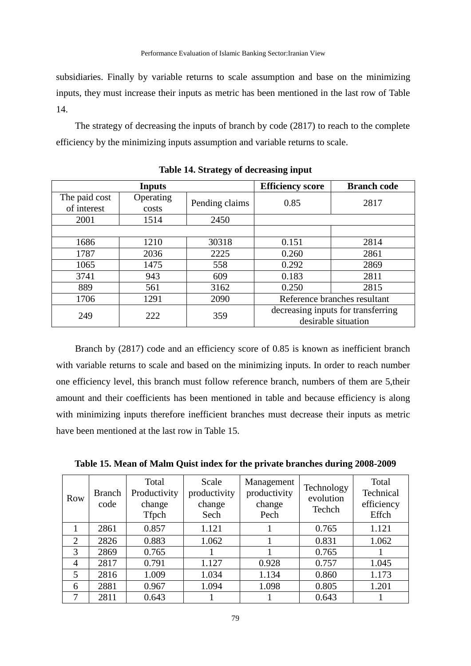subsidiaries. Finally by variable returns to scale assumption and base on the minimizing inputs, they must increase their inputs as metric has been mentioned in the last row of Table 14.

The strategy of decreasing the inputs of branch by code (2817) to reach to the complete efficiency by the minimizing inputs assumption and variable returns to scale.

|               | <b>Inputs</b> |                | <b>Efficiency score</b>            | <b>Branch code</b> |  |
|---------------|---------------|----------------|------------------------------------|--------------------|--|
| The paid cost | Operating     | Pending claims | 0.85                               | 2817               |  |
| of interest   | costs         |                |                                    |                    |  |
| 2001          | 1514          | 2450           |                                    |                    |  |
|               |               |                |                                    |                    |  |
| 1686          | 1210          | 30318          | 0.151                              | 2814               |  |
| 1787          | 2036          | 2225           | 0.260                              | 2861               |  |
| 1065          | 1475          | 558            | 0.292                              | 2869               |  |
| 3741          | 943           | 609            | 0.183                              | 2811               |  |
| 889           | 561           | 3162           | 0.250                              | 2815               |  |
| 1706          | 1291          | 2090           | Reference branches resultant       |                    |  |
| 249           | 222           | 359            | decreasing inputs for transferring |                    |  |
|               |               |                | desirable situation                |                    |  |

**Table 14. Strategy of decreasing input**

Branch by (2817) code and an efficiency score of 0.85 is known as inefficient branch with variable returns to scale and based on the minimizing inputs. In order to reach number one efficiency level, this branch must follow reference branch, numbers of them are 5,their amount and their coefficients has been mentioned in table and because efficiency is along with minimizing inputs therefore inefficient branches must decrease their inputs as metric have been mentioned at the last row in Table 15.

| Row            | <b>Branch</b><br>code | Total<br>Productivity<br>change<br><b>Tfpch</b> | Scale<br>productivity<br>change<br>Sech | Management<br>productivity<br>change<br>Pech | Technology<br>evolution<br>Techch | Total<br>Technical<br>efficiency<br>Effch |
|----------------|-----------------------|-------------------------------------------------|-----------------------------------------|----------------------------------------------|-----------------------------------|-------------------------------------------|
|                | 2861                  | 0.857                                           | 1.121                                   |                                              | 0.765                             | 1.121                                     |
| $\overline{2}$ | 2826                  | 0.883                                           | 1.062                                   |                                              | 0.831                             | 1.062                                     |
| 3              | 2869                  | 0.765                                           |                                         |                                              | 0.765                             |                                           |
| $\overline{4}$ | 2817                  | 0.791                                           | 1.127                                   | 0.928                                        | 0.757                             | 1.045                                     |
| 5              | 2816                  | 1.009                                           | 1.034                                   | 1.134                                        | 0.860                             | 1.173                                     |
| 6              | 2881                  | 0.967                                           | 1.094                                   | 1.098                                        | 0.805                             | 1.201                                     |
| 7              | 2811                  | 0.643                                           |                                         |                                              | 0.643                             |                                           |

**Table 15. Mean of Malm Quist index for the private branches during 2008-2009**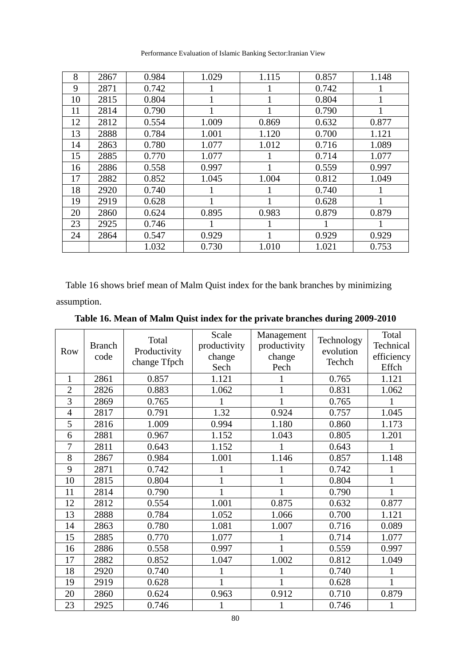| 8  | 2867 | 0.984 | 1.029 | 1.115 | 0.857 | 1.148 |
|----|------|-------|-------|-------|-------|-------|
| 9  | 2871 | 0.742 | 1     |       | 0.742 |       |
| 10 | 2815 | 0.804 | 1     | 1     | 0.804 | 1     |
| 11 | 2814 | 0.790 | 1     | 1     | 0.790 |       |
| 12 | 2812 | 0.554 | 1.009 | 0.869 | 0.632 | 0.877 |
| 13 | 2888 | 0.784 | 1.001 | 1.120 | 0.700 | 1.121 |
| 14 | 2863 | 0.780 | 1.077 | 1.012 | 0.716 | 1.089 |
| 15 | 2885 | 0.770 | 1.077 |       | 0.714 | 1.077 |
| 16 | 2886 | 0.558 | 0.997 |       | 0.559 | 0.997 |
| 17 | 2882 | 0.852 | 1.045 | 1.004 | 0.812 | 1.049 |
| 18 | 2920 | 0.740 | 1     | 1     | 0.740 |       |
| 19 | 2919 | 0.628 | 1     |       | 0.628 |       |
| 20 | 2860 | 0.624 | 0.895 | 0.983 | 0.879 | 0.879 |
| 23 | 2925 | 0.746 |       |       |       |       |
| 24 | 2864 | 0.547 | 0.929 |       | 0.929 | 0.929 |
|    |      | 1.032 | 0.730 | 1.010 | 1.021 | 0.753 |

Performance Evaluation of Islamic Banking Sector:Iranian View

Table 16 shows brief mean of Malm Quist index for the bank branches by minimizing assumption.

| Table 16. Mean of Malm Quist index for the private branches during 2009-2010 |  |  |  |
|------------------------------------------------------------------------------|--|--|--|
|------------------------------------------------------------------------------|--|--|--|

| Row            | <b>Branch</b><br>code | Total<br>Productivity<br>change Tfpch | Scale<br>productivity<br>change<br>Sech | Management<br>productivity<br>change<br>Pech | Technology<br>evolution<br>Techch | Total<br>Technical<br>efficiency<br>Effch |
|----------------|-----------------------|---------------------------------------|-----------------------------------------|----------------------------------------------|-----------------------------------|-------------------------------------------|
| $\mathbf{1}$   | 2861                  | 0.857                                 | 1.121                                   |                                              | 0.765                             | 1.121                                     |
| $\overline{2}$ | 2826                  | 0.883                                 | 1.062                                   |                                              | 0.831                             | 1.062                                     |
| $\overline{3}$ | 2869                  | 0.765                                 |                                         |                                              | 0.765                             |                                           |
| $\overline{4}$ | 2817                  | 0.791                                 | 1.32                                    | 0.924                                        | 0.757                             | 1.045                                     |
| 5              | 2816                  | 1.009                                 | 0.994                                   | 1.180                                        | 0.860                             | 1.173                                     |
| 6              | 2881                  | 0.967                                 | 1.152                                   | 1.043                                        | 0.805                             | 1.201                                     |
| 7              | 2811                  | 0.643                                 | 1.152                                   |                                              | 0.643                             |                                           |
| 8              | 2867                  | 0.984                                 | 1.001                                   | 1.146                                        | 0.857                             | 1.148                                     |
| 9              | 2871                  | 0.742                                 |                                         |                                              | 0.742                             |                                           |
| 10             | 2815                  | 0.804                                 | 1                                       |                                              | 0.804                             | $\mathbf{1}$                              |
| 11             | 2814                  | 0.790                                 | 1                                       |                                              | 0.790                             | 1                                         |
| 12             | 2812                  | 0.554                                 | 1.001                                   | 0.875                                        | 0.632                             | 0.877                                     |
| 13             | 2888                  | 0.784                                 | 1.052                                   | 1.066                                        | 0.700                             | 1.121                                     |
| 14             | 2863                  | 0.780                                 | 1.081                                   | 1.007                                        | 0.716                             | 0.089                                     |
| 15             | 2885                  | 0.770                                 | 1.077                                   |                                              | 0.714                             | 1.077                                     |
| 16             | 2886                  | 0.558                                 | 0.997                                   |                                              | 0.559                             | 0.997                                     |
| 17             | 2882                  | 0.852                                 | 1.047                                   | 1.002                                        | 0.812                             | 1.049                                     |
| 18             | 2920                  | 0.740                                 |                                         |                                              | 0.740                             | 1                                         |
| 19             | 2919                  | 0.628                                 | 1                                       |                                              | 0.628                             | 1                                         |
| 20             | 2860                  | 0.624                                 | 0.963                                   | 0.912                                        | 0.710                             | 0.879                                     |
| 23             | 2925                  | 0.746                                 |                                         |                                              | 0.746                             | 1                                         |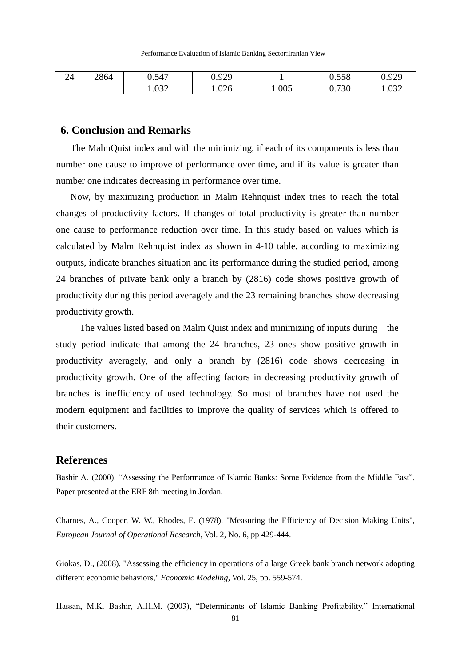| 24 | 2864 | 0.547 | ገ ዐንዐ<br>v. <i>, 2)</i> |       | 0.558          | വ വെ<br>v. <i>, 2,</i> |
|----|------|-------|-------------------------|-------|----------------|------------------------|
|    |      | 1.032 | 1.026                   | 1.005 | 0.720<br>0.730 | $\Omega$<br>1.032      |

# **6. Conclusion and Remarks**

The MalmQuist index and with the minimizing, if each of its components is less than number one cause to improve of performance over time, and if its value is greater than number one indicates decreasing in performance over time.

Now, by maximizing production in Malm Rehnquist index tries to reach the total changes of productivity factors. If changes of total productivity is greater than number one cause to performance reduction over time. In this study based on values which is calculated by Malm Rehnquist index as shown in 4-10 table, according to maximizing outputs, indicate branches situation and its performance during the studied period, among 24 branches of private bank only a branch by (2816) code shows positive growth of productivity during this period averagely and the 23 remaining branches show decreasing productivity growth.

The values listed based on Malm Quist index and minimizing of inputs during the study period indicate that among the 24 branches, 23 ones show positive growth in productivity averagely, and only a branch by (2816) code shows decreasing in productivity growth. One of the affecting factors in decreasing productivity growth of branches is inefficiency of used technology. So most of branches have not used the modern equipment and facilities to improve the quality of services which is offered to their customers.

# **References**

Bashir A. (2000). "Assessing the Performance of Islamic Banks: Some Evidence from the Middle East", Paper presented at the ERF 8th meeting in Jordan.

Charnes, A., Cooper, W. W., Rhodes, E. (1978). "Measuring the Efficiency of Decision Making Units", *European Journal of Operational Research*, Vol. 2, No. 6, pp 429-444.

Giokas, D., (2008). "Assessing the efficiency in operations of a large Greek bank branch network adopting different economic behaviors," *Economic Modeling*, Vol. 25, pp. 559-574.

Hassan, M.K. Bashir, A.H.M. (2003), "Determinants of Islamic Banking Profitability." International